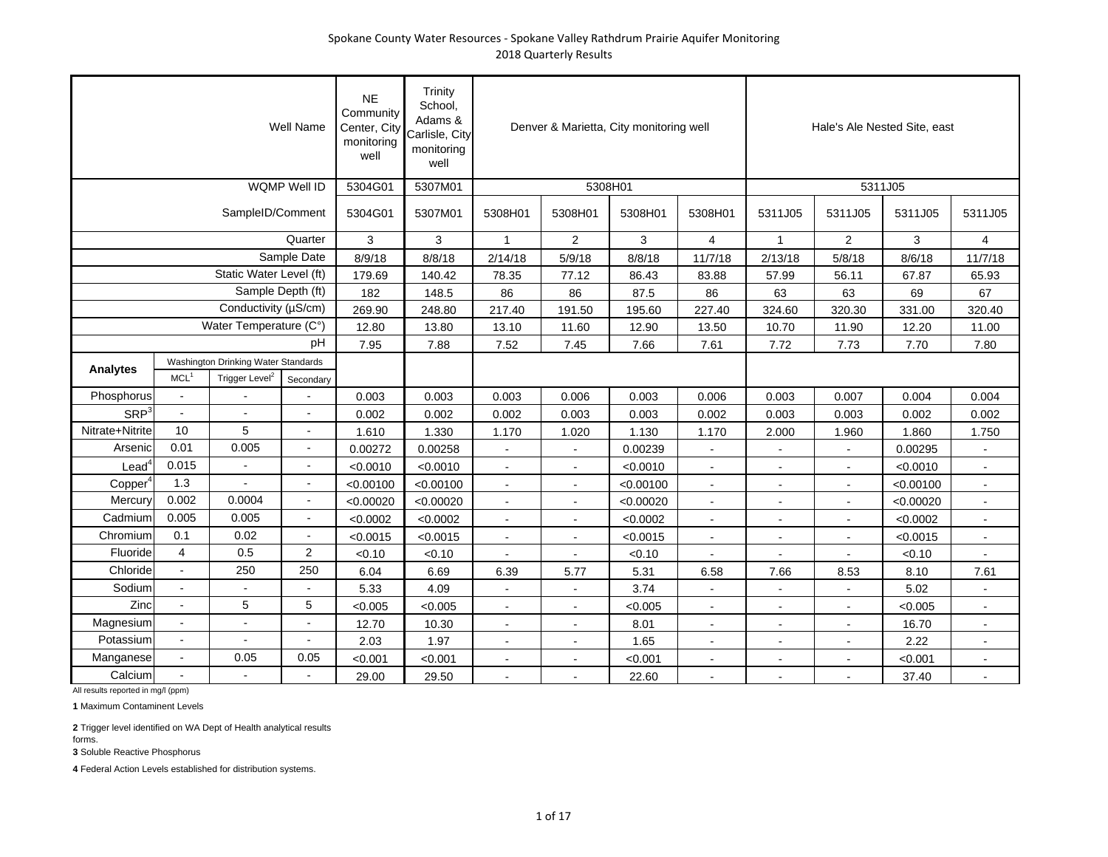|                     |                  |                                     | <b>Well Name</b>    | <b>NE</b><br>Community<br>Center, City<br>monitoring<br>well | Trinity<br>School,<br>Adams &<br>Carlisle, City<br>monitoring<br>well |                          |                | Denver & Marietta, City monitoring well |                          |                |                | Hale's Ale Nested Site, east |                |
|---------------------|------------------|-------------------------------------|---------------------|--------------------------------------------------------------|-----------------------------------------------------------------------|--------------------------|----------------|-----------------------------------------|--------------------------|----------------|----------------|------------------------------|----------------|
|                     |                  |                                     | <b>WQMP Well ID</b> | 5304G01                                                      | 5307M01                                                               |                          | 5308H01        |                                         |                          |                |                | 5311J05                      |                |
|                     |                  | SampleID/Comment                    |                     | 5304G01                                                      | 5307M01                                                               | 5308H01                  | 5308H01        | 5308H01                                 | 5308H01                  | 5311J05        | 5311J05        | 5311J05                      | 5311J05        |
|                     |                  |                                     | Quarter             | 3                                                            | 3                                                                     | $\mathbf{1}$             | 2              | 3                                       | 4                        | $\mathbf{1}$   | $\overline{2}$ | 3                            | 4              |
|                     |                  |                                     | Sample Date         | 8/9/18                                                       | 8/8/18                                                                | 2/14/18                  | 5/9/18         | 8/8/18                                  | 11/7/18                  | 2/13/18        | 5/8/18         | 8/6/18                       | 11/7/18        |
|                     |                  | Static Water Level (ft)             |                     | 179.69                                                       | 140.42                                                                | 78.35                    | 77.12          | 86.43                                   | 83.88                    | 57.99          | 56.11          | 67.87                        | 65.93          |
|                     |                  | Sample Depth (ft)                   |                     | 182                                                          | 148.5                                                                 | 86                       | 86             | 87.5                                    | 86                       | 63             | 63             | 69                           | 67             |
|                     |                  | Conductivity (µS/cm)                |                     | 269.90                                                       | 248.80                                                                | 217.40                   | 191.50         | 195.60                                  | 227.40                   | 324.60         | 320.30         | 331.00                       | 320.40         |
|                     |                  | Water Temperature (C°)              |                     | 12.80                                                        | 13.80                                                                 | 13.10                    | 11.60          | 12.90                                   | 13.50                    | 10.70          | 11.90          | 12.20                        | 11.00          |
|                     |                  |                                     | рH                  | 7.95                                                         | 7.88                                                                  | 7.52                     | 7.45           | 7.66                                    | 7.61                     | 7.72           | 7.73           | 7.70                         | 7.80           |
| Analytes            |                  | Washington Drinking Water Standards |                     |                                                              |                                                                       |                          |                |                                         |                          |                |                |                              |                |
|                     | MCL <sup>1</sup> | Trigger Level <sup>2</sup>          | Secondary           |                                                              |                                                                       |                          |                |                                         |                          |                |                |                              |                |
| Phosphorus          | $\sim$           |                                     |                     | 0.003                                                        | 0.003                                                                 | 0.003                    | 0.006          | 0.003                                   | 0.006                    | 0.003          | 0.007          | 0.004                        | 0.004          |
| SRP <sup>3</sup>    | $\sim$           |                                     |                     | 0.002                                                        | 0.002                                                                 | 0.002                    | 0.003          | 0.003                                   | 0.002                    | 0.003          | 0.003          | 0.002                        | 0.002          |
| Nitrate+Nitrite     | 10               | 5                                   | $\blacksquare$      | 1.610                                                        | 1.330                                                                 | 1.170                    | 1.020          | 1.130                                   | 1.170                    | 2.000          | 1.960          | 1.860                        | 1.750          |
| Arsenic             | 0.01             | 0.005                               | $\blacksquare$      | 0.00272                                                      | 0.00258                                                               |                          |                | 0.00239                                 | $\blacksquare$           |                |                | 0.00295                      |                |
| $\textsf{lead}^4$   | 0.015            |                                     |                     | < 0.0010                                                     | < 0.0010                                                              |                          |                | < 0.0010                                | $\blacksquare$           | $\blacksquare$ |                | < 0.0010                     |                |
| Copper <sup>4</sup> | 1.3              |                                     |                     | < 0.00100                                                    | < 0.00100                                                             | $\blacksquare$           | $\blacksquare$ | < 0.00100                               | $\blacksquare$           | $\sim$         | $\blacksquare$ | < 0.00100                    | $\sim$         |
| Mercury             | 0.002            | 0.0004                              | $\blacksquare$      | < 0.00020                                                    | < 0.00020                                                             | $\sim$                   | $\blacksquare$ | < 0.00020                               | $\blacksquare$           | $\blacksquare$ | $\mathbf{r}$   | < 0.00020                    | $\blacksquare$ |
| Cadmium             | 0.005            | 0.005                               | $\blacksquare$      | < 0.0002                                                     | < 0.0002                                                              | $\sim$                   | L,             | < 0.0002                                | $\overline{a}$           |                | $\blacksquare$ | < 0.0002                     |                |
| Chromium            | 0.1              | 0.02                                |                     | < 0.0015                                                     | < 0.0015                                                              |                          |                | < 0.0015                                |                          |                |                | < 0.0015                     |                |
| Fluoride            | $\overline{4}$   | 0.5                                 | $\overline{2}$      | < 0.10                                                       | < 0.10                                                                |                          |                | < 0.10                                  |                          |                |                | < 0.10                       |                |
| Chloride            | $\sim$           | 250                                 | 250                 | 6.04                                                         | 6.69                                                                  | 6.39                     | 5.77           | 5.31                                    | 6.58                     | 7.66           | 8.53           | 8.10                         | 7.61           |
| Sodium              |                  |                                     |                     | 5.33                                                         | 4.09                                                                  |                          |                | 3.74                                    |                          |                |                | 5.02                         |                |
| Zinc                |                  | 5                                   | 5                   | < 0.005                                                      | < 0.005                                                               |                          | $\overline{a}$ | < 0.005                                 | $\overline{\phantom{a}}$ |                | $\blacksquare$ | < 0.005                      |                |
| Magnesium           | $\blacksquare$   |                                     | $\blacksquare$      | 12.70                                                        | 10.30                                                                 | $\overline{\phantom{a}}$ | $\blacksquare$ | 8.01                                    | $\overline{\phantom{a}}$ | $\sim$         | $\blacksquare$ | 16.70                        | $\sim$         |
| Potassium           | $\blacksquare$   | $\blacksquare$                      | $\blacksquare$      | 2.03                                                         | 1.97                                                                  | $\sim$                   | $\overline{a}$ | 1.65                                    | $\blacksquare$           | $\sim$         | $\blacksquare$ | 2.22                         | $\blacksquare$ |
| Manganese           | $\blacksquare$   | 0.05                                | 0.05                | < 0.001                                                      | < 0.001                                                               |                          |                | < 0.001                                 | $\blacksquare$           |                |                | < 0.001                      |                |
| Calcium             |                  |                                     |                     | 29.00                                                        | 29.50                                                                 |                          |                | 22.60                                   |                          |                |                | 37.40                        |                |

**1** Maximum Contaminent Levels

**2** Trigger level identified on WA Dept of Health analytical results forms.

**3** Soluble Reactive Phosphorus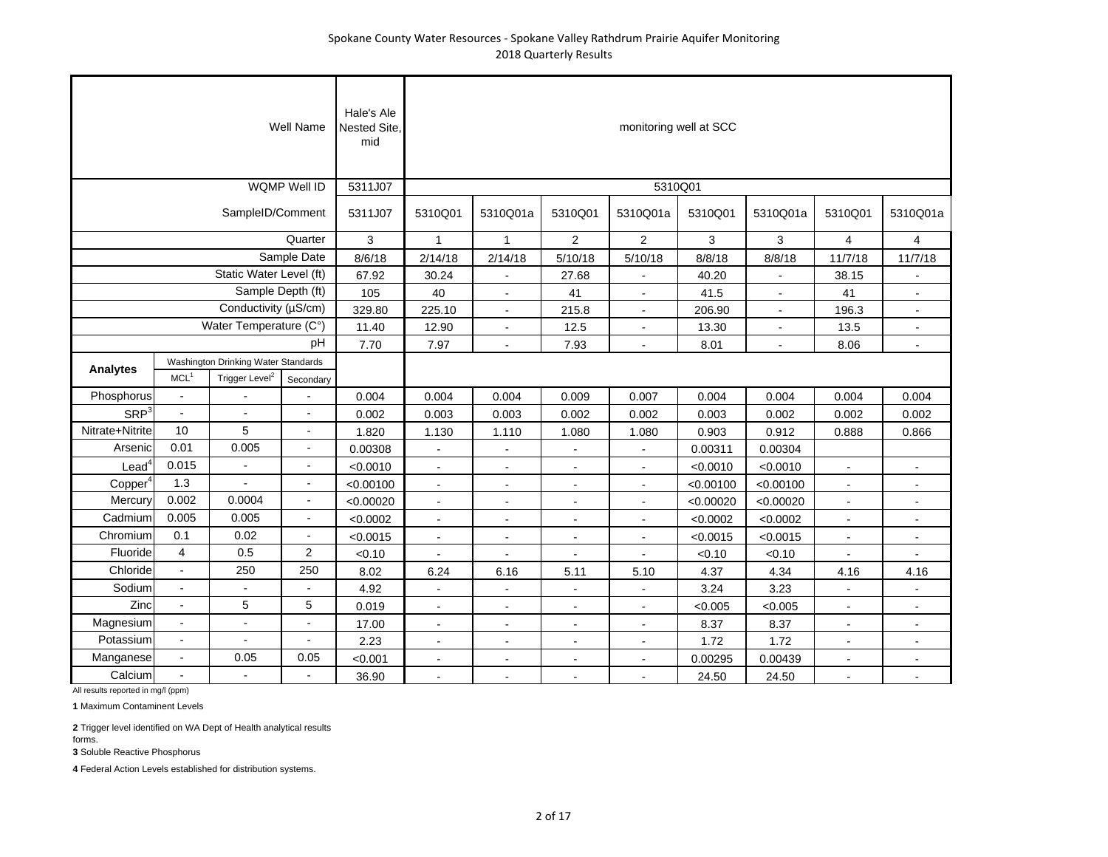|                     |                          |                                                                   | Well Name           | Hale's Ale<br>Nested Site,<br>mid |                |                |                          | monitoring well at SCC |           |                          |                          |                          |
|---------------------|--------------------------|-------------------------------------------------------------------|---------------------|-----------------------------------|----------------|----------------|--------------------------|------------------------|-----------|--------------------------|--------------------------|--------------------------|
|                     |                          |                                                                   | <b>WQMP Well ID</b> | 5311J07                           |                |                |                          | 5310Q01                |           |                          |                          |                          |
|                     |                          | SampleID/Comment                                                  |                     | 5311J07                           | 5310Q01        | 5310Q01a       | 5310Q01                  | 5310Q01a               | 5310Q01   | 5310Q01a                 | 5310Q01                  | 5310Q01a                 |
|                     |                          |                                                                   | Quarter             | 3                                 | $\mathbf{1}$   | $\mathbf{1}$   | 2                        | $\overline{2}$         | 3         | 3                        | 4                        | 4                        |
|                     |                          |                                                                   | Sample Date         | 8/6/18                            | 2/14/18        | 2/14/18        | 5/10/18                  | 5/10/18                | 8/8/18    | 8/8/18                   | 11/7/18                  | 11/7/18                  |
|                     |                          | Static Water Level (ft)                                           |                     | 67.92                             | 30.24          |                | 27.68                    |                        | 40.20     |                          | 38.15                    |                          |
|                     |                          | Sample Depth (ft)                                                 |                     | 105                               | 40             | $\blacksquare$ | 41                       | $\blacksquare$         | 41.5      | $\overline{\phantom{a}}$ | 41                       |                          |
|                     |                          | Conductivity (µS/cm)                                              |                     | 329.80                            | 225.10         | $\blacksquare$ | 215.8                    | $\overline{a}$         | 206.90    | $\blacksquare$           | 196.3                    |                          |
|                     |                          | Water Temperature (C°)                                            |                     | 11.40                             | 12.90          |                | 12.5                     |                        | 13.30     |                          | 13.5                     |                          |
|                     |                          |                                                                   | pH                  | 7.70                              | 7.97           | $\blacksquare$ | 7.93                     |                        | 8.01      |                          | 8.06                     |                          |
| <b>Analytes</b>     | MCL <sup>1</sup>         | Washington Drinking Water Standards<br>Trigger Level <sup>2</sup> | Secondary           |                                   |                |                |                          |                        |           |                          |                          |                          |
| Phosphorus          | $\blacksquare$           |                                                                   |                     | 0.004                             | 0.004          | 0.004          | 0.009                    | 0.007                  | 0.004     | 0.004                    | 0.004                    | 0.004                    |
| SRP <sup>3</sup>    | $\overline{a}$           |                                                                   | $\blacksquare$      | 0.002                             | 0.003          | 0.003          | 0.002                    | 0.002                  | 0.003     | 0.002                    | 0.002                    | 0.002                    |
| Nitrate+Nitrite     | 10                       | 5                                                                 | $\blacksquare$      | 1.820                             | 1.130          | 1.110          | 1.080                    | 1.080                  | 0.903     | 0.912                    | 0.888                    | 0.866                    |
| Arsenic             | 0.01                     | 0.005                                                             | $\blacksquare$      | 0.00308                           | $\sim$         | $\blacksquare$ | $\blacksquare$           | $\blacksquare$         | 0.00311   | 0.00304                  |                          |                          |
| Lead <sup>4</sup>   | 0.015                    |                                                                   | $\overline{a}$      | < 0.0010                          | ÷.             | ÷,             |                          | $\overline{a}$         | < 0.0010  | < 0.0010                 |                          |                          |
| Copper <sup>4</sup> | 1.3                      |                                                                   |                     | < 0.00100                         |                | $\blacksquare$ | $\overline{a}$           |                        | < 0.00100 | < 0.00100                | $\blacksquare$           | $\overline{\phantom{a}}$ |
| Mercury             | 0.002                    | 0.0004                                                            |                     | < 0.00020                         | $\sim$         | $\blacksquare$ | $\blacksquare$           | $\blacksquare$         | < 0.00020 | < 0.00020                | $\blacksquare$           | $\blacksquare$           |
| Cadmium             | 0.005                    | 0.005                                                             | $\blacksquare$      | < 0.0002                          | $\blacksquare$ | $\blacksquare$ | $\blacksquare$           | $\blacksquare$         | < 0.0002  | < 0.0002                 | $\overline{\phantom{a}}$ | $\blacksquare$           |
| Chromium            | 0.1                      | 0.02                                                              | $\overline{a}$      | < 0.0015                          | $\overline{a}$ | $\overline{a}$ | ä,                       | $\blacksquare$         | < 0.0015  | < 0.0015                 | $\overline{a}$           |                          |
| Fluoride            | $\overline{\mathbf{4}}$  | $0.5\,$                                                           | $\overline{2}$      | < 0.10                            |                |                |                          |                        | < 0.10    | < 0.10                   |                          |                          |
| Chloride            | $\blacksquare$           | 250                                                               | 250                 | 8.02                              | 6.24           | 6.16           | 5.11                     | 5.10                   | 4.37      | 4.34                     | 4.16                     | 4.16                     |
| Sodium              | $\overline{\phantom{a}}$ |                                                                   |                     | 4.92                              | $\overline{a}$ |                |                          |                        | 3.24      | 3.23                     |                          |                          |
| Zinc                | $\overline{a}$           | 5                                                                 | 5                   | 0.019                             |                | $\overline{a}$ |                          |                        | < 0.005   | < 0.005                  | $\blacksquare$           |                          |
| Magnesium           | $\blacksquare$           | $\sim$                                                            | $\blacksquare$      | 17.00                             | $\overline{a}$ | $\overline{a}$ | $\blacksquare$           | $\blacksquare$         | 8.37      | 8.37                     | $\blacksquare$           | $\blacksquare$           |
| Potassium           | $\blacksquare$           | $\blacksquare$                                                    | $\blacksquare$      | 2.23                              | $\blacksquare$ | $\blacksquare$ | $\overline{\phantom{a}}$ | $\blacksquare$         | 1.72      | 1.72                     | $\blacksquare$           | $\blacksquare$           |
| Manganese           | $\blacksquare$           | 0.05                                                              | 0.05                | < 0.001                           | $\overline{a}$ | $\overline{a}$ | Ē,                       |                        | 0.00295   | 0.00439                  | $\blacksquare$           |                          |
| Calcium             | $\overline{a}$           | $\mathbf{r}$                                                      | $\overline{a}$      | 36.90                             |                |                |                          |                        | 24.50     | 24.50                    |                          | $\blacksquare$           |

**1** Maximum Contaminent Levels

**2** Trigger level identified on WA Dept of Health analytical results forms.

**3** Soluble Reactive Phosphorus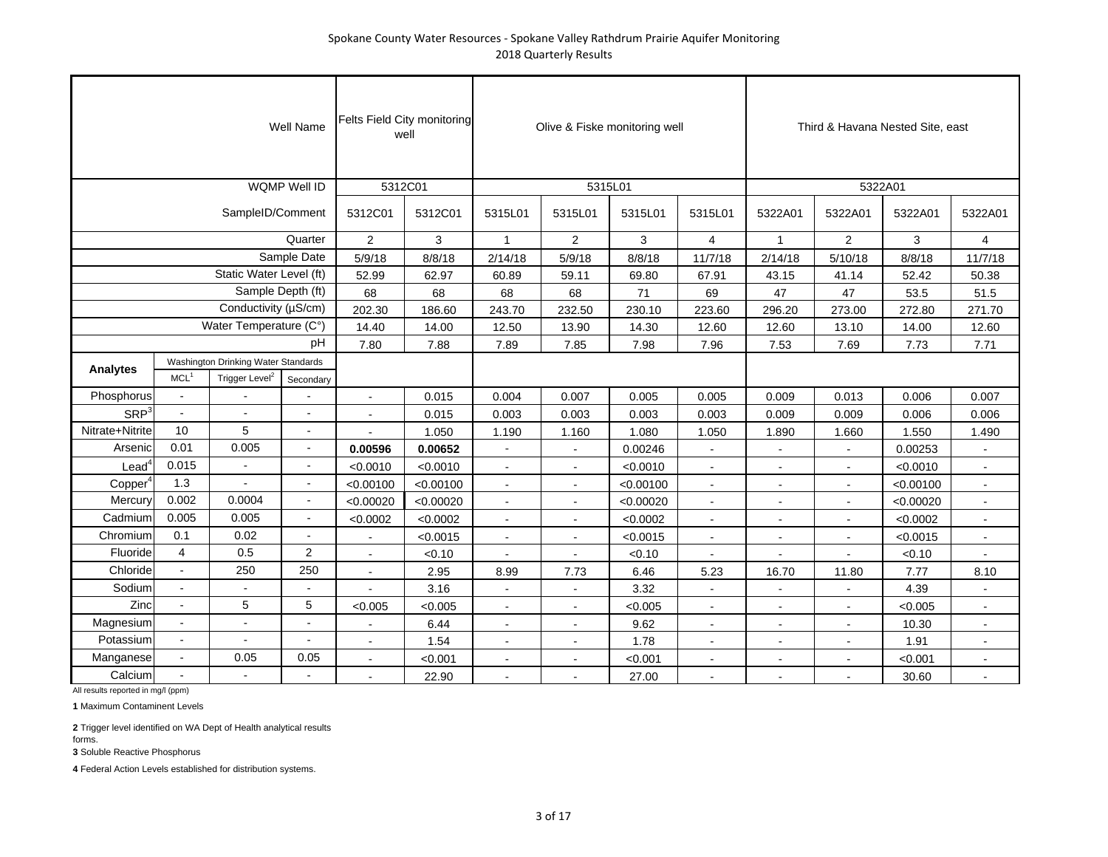|                     |                  |                                                                   | <b>Well Name</b>         | Felts Field City monitoring | well                  |                                  |                | Olive & Fiske monitoring well |                                  |                          | Third & Havana Nested Site, east |                       |                |
|---------------------|------------------|-------------------------------------------------------------------|--------------------------|-----------------------------|-----------------------|----------------------------------|----------------|-------------------------------|----------------------------------|--------------------------|----------------------------------|-----------------------|----------------|
|                     |                  |                                                                   | WQMP Well ID             | 5312C01                     |                       |                                  | 5315L01        |                               |                                  |                          | 5322A01                          |                       |                |
|                     |                  | SampleID/Comment                                                  |                          | 5312C01                     | 5312C01               | 5315L01                          | 5315L01        | 5315L01                       | 5315L01                          | 5322A01                  | 5322A01                          | 5322A01               | 5322A01        |
|                     |                  |                                                                   | Quarter                  | 2                           | 3                     | $\mathbf{1}$                     | 2              | 3                             | $\overline{4}$                   | $\mathbf{1}$             | $\overline{2}$                   | 3                     | $\overline{4}$ |
|                     |                  |                                                                   | Sample Date              | 5/9/18                      | 8/8/18                | 2/14/18                          | 5/9/18         | 8/8/18                        | 11/7/18                          | 2/14/18                  | 5/10/18                          | 8/8/18                | 11/7/18        |
|                     |                  | Static Water Level (ft)                                           |                          | 52.99                       | 62.97                 | 60.89                            | 59.11          | 69.80                         | 67.91                            | 43.15                    | 41.14                            | 52.42                 | 50.38          |
|                     |                  | Sample Depth (ft)                                                 |                          | 68                          | 68                    | 68                               | 68             | 71                            | 69                               | 47                       | 47                               | 53.5                  | 51.5           |
|                     |                  | Conductivity (µS/cm)                                              |                          | 202.30                      | 186.60                | 243.70                           | 232.50         | 230.10                        | 223.60                           | 296.20                   | 273.00                           | 272.80                | 271.70         |
|                     |                  | Water Temperature (C°)                                            |                          | 14.40                       | 14.00                 | 12.50                            | 13.90          | 14.30                         | 12.60                            | 12.60                    | 13.10                            | 14.00                 | 12.60          |
|                     |                  |                                                                   | pН                       | 7.80                        | 7.88                  | 7.89                             | 7.85           | 7.98                          | 7.96                             | 7.53                     | 7.69                             | 7.73                  | 7.71           |
| Analytes            | MCL <sup>1</sup> | Washington Drinking Water Standards<br>Trigger Level <sup>2</sup> |                          |                             |                       |                                  |                |                               |                                  |                          |                                  |                       |                |
| Phosphorus          | $\sim$           |                                                                   | Secondary                | $\overline{a}$              |                       |                                  |                |                               |                                  |                          |                                  |                       |                |
| SRP <sup>3</sup>    | $\sim$           | $\overline{a}$                                                    |                          |                             | 0.015                 | 0.004                            | 0.007          | 0.005                         | 0.005                            | 0.009                    | 0.013                            | 0.006                 | 0.007          |
| Nitrate+Nitrite     | 10               | 5                                                                 | $\blacksquare$           |                             | 0.015                 | 0.003                            | 0.003          | 0.003                         | 0.003                            | 0.009                    | 0.009                            | 0.006                 | 0.006          |
| Arsenic             | 0.01             | 0.005                                                             | $\sim$                   |                             | 1.050                 | 1.190<br>$\sim$                  | 1.160          | 1.080                         | 1.050<br>÷,                      | 1.890                    | 1.660                            | 1.550                 | 1.490          |
| $\textsf{lead}^4$   | 0.015            |                                                                   | ÷.                       | 0.00596                     | 0.00652               |                                  | $\sim$         | 0.00246                       |                                  |                          | $\overline{a}$                   | 0.00253               | $\sim$         |
| Copper <sup>4</sup> | 1.3              |                                                                   |                          | < 0.0010<br>< 0.00100       | < 0.0010<br>< 0.00100 | $\sim$                           | $\blacksquare$ | < 0.0010<br>< 0.00100         | $\blacksquare$<br>$\blacksquare$ |                          | $\blacksquare$                   | < 0.0010<br>< 0.00100 | $\blacksquare$ |
| Mercury             | 0.002            | 0.0004                                                            | $\overline{\phantom{a}}$ | < 0.00020                   | < 0.00020             | $\blacksquare$<br>$\blacksquare$ | $\blacksquare$ | < 0.00020                     | $\overline{\phantom{a}}$         | $\blacksquare$           | $\blacksquare$                   | < 0.00020             | $\sim$         |
| Cadmium             | 0.005            | 0.005                                                             | $\sim$                   | < 0.0002                    | < 0.0002              | $\blacksquare$                   | ä,             | < 0.0002                      | $\blacksquare$                   |                          | $\blacksquare$                   | < 0.0002              | $\blacksquare$ |
| Chromium            | 0.1              | 0.02                                                              | $\sim$                   |                             | < 0.0015              | $\overline{a}$                   |                | < 0.0015                      | $\sim$                           |                          |                                  | < 0.0015              | ÷.             |
| Fluoride            | $\overline{4}$   | 0.5                                                               | 2                        |                             | < 0.10                |                                  |                | < 0.10                        |                                  |                          |                                  | < 0.10                |                |
| Chloride            | $\blacksquare$   | 250                                                               | 250                      | $\overline{a}$              | 2.95                  | 8.99                             | 7.73           | 6.46                          | 5.23                             | 16.70                    | 11.80                            | 7.77                  | 8.10           |
| Sodium              |                  |                                                                   |                          |                             | 3.16                  |                                  |                | 3.32                          |                                  |                          |                                  | 4.39                  |                |
| Zinc                | $\overline{a}$   | 5                                                                 | $\sqrt{5}$               | < 0.005                     | < 0.005               |                                  |                | < 0.005                       | ÷,                               |                          |                                  | < 0.005               | $\blacksquare$ |
| Magnesium           | $\sim$           | $\overline{a}$                                                    | $\overline{a}$           | $\ddot{\phantom{a}}$        | 6.44                  | $\blacksquare$                   | $\blacksquare$ | 9.62                          | $\overline{a}$                   |                          | $\blacksquare$                   | 10.30                 | $\blacksquare$ |
| Potassium           | $\blacksquare$   | $\overline{\phantom{a}}$                                          | $\blacksquare$           | $\blacksquare$              | 1.54                  | $\blacksquare$                   | $\blacksquare$ | 1.78                          | $\overline{\phantom{a}}$         | $\overline{\phantom{a}}$ | $\blacksquare$                   | 1.91                  | $\sim$         |
| Manganese           | $\blacksquare$   | 0.05                                                              | 0.05                     |                             | < 0.001               | $\sim$                           |                | < 0.001                       | $\overline{a}$                   |                          | $\blacksquare$                   | < 0.001               |                |
| Calcium             | $\sim$           |                                                                   | $\overline{a}$           |                             | 22.90                 |                                  |                | 27.00                         | $\overline{a}$                   |                          |                                  | 30.60                 |                |

All results reported in mg/l (ppm)

**1** Maximum Contaminent Levels

**2** Trigger level identified on WA Dept of Health analytical results forms.

**3** Soluble Reactive Phosphorus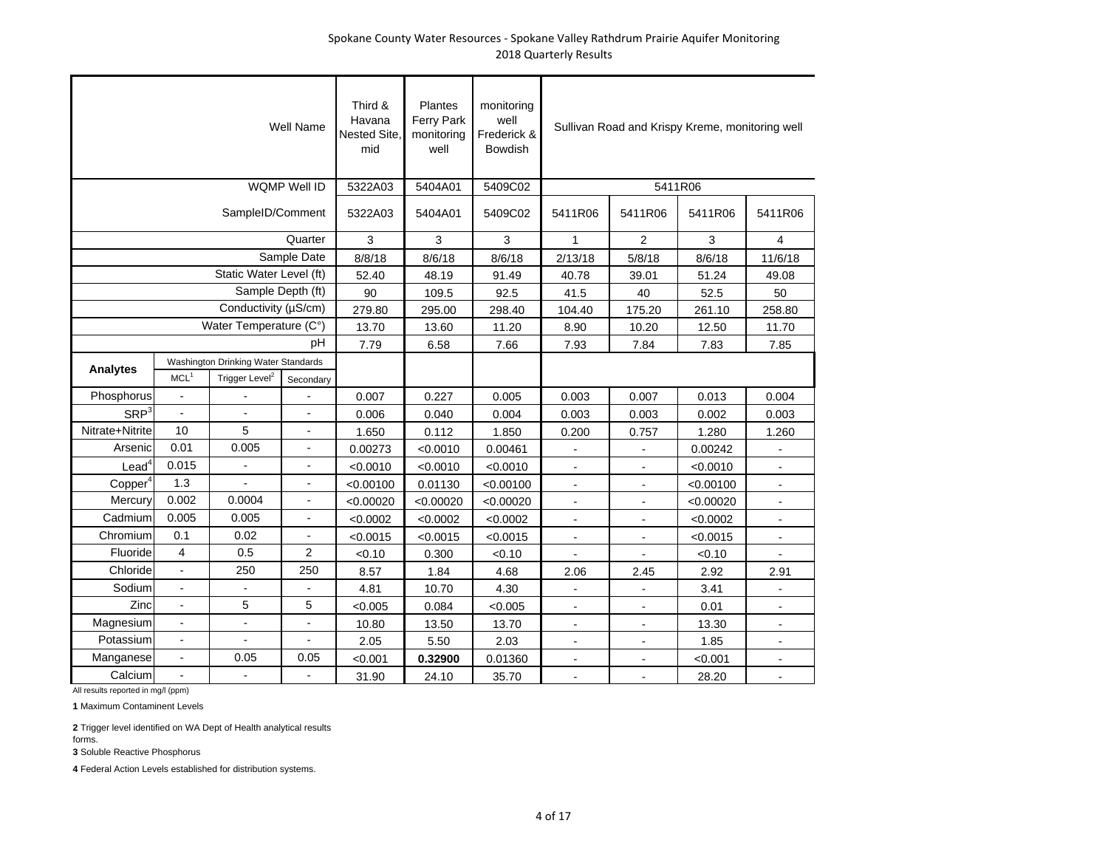|                     |                          |                                     | Well Name                | Third &<br>Havana<br><b>Nested Site</b><br>mid | Plantes<br>Ferry Park<br>monitoring<br>well | monitoring<br>well<br>Frederick &<br>Bowdish |                |                          | Sullivan Road and Krispy Kreme, monitoring well |                |
|---------------------|--------------------------|-------------------------------------|--------------------------|------------------------------------------------|---------------------------------------------|----------------------------------------------|----------------|--------------------------|-------------------------------------------------|----------------|
|                     |                          |                                     | WQMP Well ID             | 5322A03                                        | 5404A01                                     | 5409C02                                      |                | 5411R06                  |                                                 |                |
|                     |                          | SampleID/Comment                    |                          | 5322A03                                        | 5404A01                                     | 5409C02                                      | 5411R06        | 5411R06                  | 5411R06                                         | 5411R06        |
|                     |                          |                                     | Quarter                  | 3                                              | 3                                           | 3                                            | $\mathbf{1}$   | $\overline{2}$           | 3                                               | 4              |
|                     |                          |                                     | Sample Date              | 8/8/18                                         | 8/6/18                                      | 8/6/18                                       | 2/13/18        | 5/8/18                   | 8/6/18                                          | 11/6/18        |
|                     |                          | Static Water Level (ft)             |                          | 52.40                                          | 48.19                                       | 91.49                                        | 40.78          | 39.01                    | 51.24                                           | 49.08          |
|                     |                          | Sample Depth (ft)                   |                          | 90                                             | 109.5                                       | 92.5                                         | 41.5           | 40                       | 52.5                                            | 50             |
|                     |                          | Conductivity (µS/cm)                |                          | 279.80                                         | 295.00                                      | 298.40                                       | 104.40         | 175.20                   | 261.10                                          | 258.80         |
|                     |                          | Water Temperature (C°)              |                          | 13.70                                          | 13.60                                       | 11.20                                        | 8.90           | 10.20                    | 12.50                                           | 11.70          |
|                     |                          |                                     | рH                       | 7.79                                           | 6.58                                        | 7.66                                         | 7.93           | 7.84                     | 7.83                                            | 7.85           |
| Analytes            |                          | Washington Drinking Water Standards |                          |                                                |                                             |                                              |                |                          |                                                 |                |
|                     | MCL <sup>1</sup>         | Trigger Level <sup>2</sup>          | Secondary                |                                                |                                             |                                              |                |                          |                                                 |                |
| Phosphorus          | $\overline{a}$           |                                     |                          | 0.007                                          | 0.227                                       | 0.005                                        | 0.003          | 0.007                    | 0.013                                           | 0.004          |
| SRP <sup>3</sup>    | $\overline{a}$           |                                     |                          | 0.006                                          | 0.040                                       | 0.004                                        | 0.003          | 0.003                    | 0.002                                           | 0.003          |
| Nitrate+Nitrite     | 10                       | 5                                   |                          | 1.650                                          | 0.112                                       | 1.850                                        | 0.200          | 0.757                    | 1.280                                           | 1.260          |
| Arsenic             | 0.01                     | 0.005                               |                          | 0.00273                                        | < 0.0010                                    | 0.00461                                      | ÷,             |                          | 0.00242                                         |                |
| $\text{Lead}^4$     | 0.015                    | $\blacksquare$                      |                          | < 0.0010                                       | < 0.0010                                    | < 0.0010                                     | $\blacksquare$ | $\overline{\phantom{a}}$ | < 0.0010                                        | $\blacksquare$ |
| Copper <sup>4</sup> | 1.3                      |                                     | $\frac{1}{2}$            | < 0.00100                                      | 0.01130                                     | < 0.00100                                    | $\blacksquare$ | $\blacksquare$           | < 0.00100                                       | $\blacksquare$ |
| Mercury             | 0.002                    | 0.0004                              | $\overline{a}$           | < 0.00020                                      | < 0.00020                                   | < 0.00020                                    | $\overline{a}$ | $\overline{a}$           | < 0.00020                                       | $\overline{a}$ |
| Cadmium             | 0.005                    | 0.005                               | $\overline{a}$           | < 0.0002                                       | < 0.0002                                    | < 0.0002                                     | $\overline{a}$ | $\overline{a}$           | < 0.0002                                        |                |
| Chromium            | 0.1                      | 0.02                                |                          | < 0.0015                                       | < 0.0015                                    | < 0.0015                                     | $\blacksquare$ | $\ddot{\phantom{a}}$     | < 0.0015                                        | $\blacksquare$ |
| Fluoride            | $\overline{4}$           | 0.5                                 | $\overline{2}$           | < 0.10                                         | 0.300                                       | < 0.10                                       |                |                          | < 0.10                                          |                |
| Chloride            | $\overline{a}$           | 250                                 | 250                      | 8.57                                           | 1.84                                        | 4.68                                         | 2.06           | 2.45                     | 2.92                                            | 2.91           |
| Sodium              |                          |                                     |                          | 4.81                                           | 10.70                                       | 4.30                                         |                |                          | 3.41                                            |                |
| Zinc                |                          | 5                                   | 5                        | < 0.005                                        | 0.084                                       | < 0.005                                      | $\blacksquare$ | $\blacksquare$           | 0.01                                            | $\blacksquare$ |
| Magnesium           | $\overline{\phantom{a}}$ | $\overline{a}$                      | $\overline{\phantom{a}}$ | 10.80                                          | 13.50                                       | 13.70                                        | $\overline{a}$ | $\overline{a}$           | 13.30                                           | $\blacksquare$ |
| Potassium           | $\overline{a}$           | $\overline{a}$                      | $\blacksquare$           | 2.05                                           | 5.50                                        | 2.03                                         | $\overline{a}$ | $\overline{a}$           | 1.85                                            | $\blacksquare$ |
| Manganese           | $\blacksquare$           | 0.05                                | 0.05                     | < 0.001                                        | 0.32900                                     | 0.01360                                      |                |                          | < 0.001                                         |                |
| Calcium             |                          | $\frac{1}{2}$                       |                          | 31.90                                          | 24.10                                       | 35.70                                        | $\overline{a}$ | ÷.                       | 28.20                                           |                |

All results reported in mg/l (ppm)

**1** Maximum Contaminent Levels

**2** Trigger level identified on WA Dept of Health analytical results forms.

**3** Soluble Reactive Phosphorus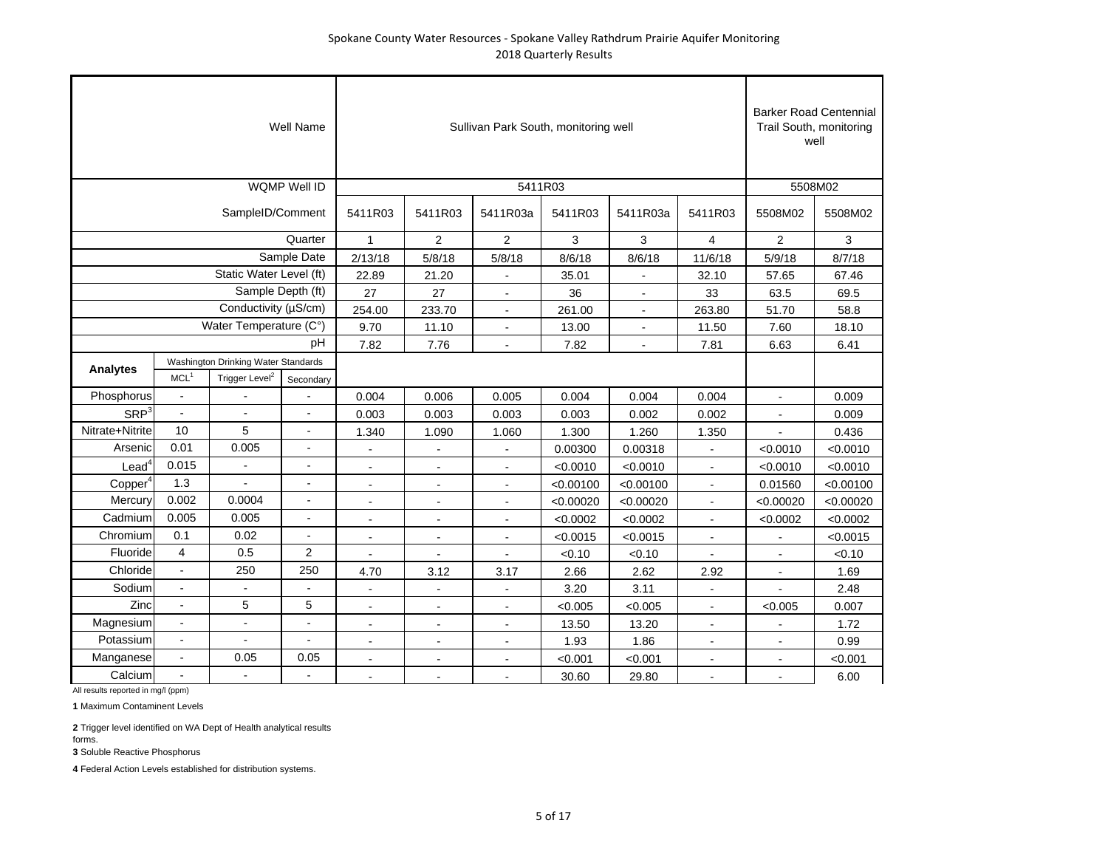|                     |                         |                                                                   | <b>Well Name</b>    |                |                | Sullivan Park South, monitoring well |           |           |                          | <b>Barker Road Centennial</b> | Trail South, monitoring<br>well |
|---------------------|-------------------------|-------------------------------------------------------------------|---------------------|----------------|----------------|--------------------------------------|-----------|-----------|--------------------------|-------------------------------|---------------------------------|
|                     |                         |                                                                   | <b>WQMP Well ID</b> |                |                | 5411R03                              |           |           |                          | 5508M02                       |                                 |
|                     |                         | SampleID/Comment                                                  |                     | 5411R03        | 5411R03        | 5411R03a                             | 5411R03   | 5411R03a  | 5411R03                  | 5508M02                       | 5508M02                         |
|                     |                         |                                                                   | Quarter             | $\mathbf{1}$   | $\overline{2}$ | 2                                    | 3         | 3         | 4                        | $\overline{2}$                | 3                               |
|                     |                         |                                                                   | Sample Date         | 2/13/18        | 5/8/18         | 5/8/18                               | 8/6/18    | 8/6/18    | 11/6/18                  | 5/9/18                        | 8/7/18                          |
|                     |                         | Static Water Level (ft)                                           |                     | 22.89          | 21.20          |                                      | 35.01     |           | 32.10                    | 57.65                         | 67.46                           |
|                     |                         | Sample Depth (ft)                                                 |                     | 27             | 27             | $\overline{\phantom{a}}$             | 36        |           | 33                       | 63.5                          | 69.5                            |
|                     |                         | Conductivity (µS/cm)                                              |                     | 254.00         | 233.70         | $\sim$                               | 261.00    |           | 263.80                   | 51.70                         | 58.8                            |
|                     |                         | Water Temperature (C°)                                            |                     | 9.70           | 11.10          |                                      | 13.00     |           | 11.50                    | 7.60                          | 18.10                           |
|                     |                         |                                                                   | pH                  | 7.82           | 7.76           |                                      | 7.82      |           | 7.81                     | 6.63                          | 6.41                            |
| Analytes            | MCL <sup>1</sup>        | Washington Drinking Water Standards<br>Trigger Level <sup>2</sup> | Secondary           |                |                |                                      |           |           |                          |                               |                                 |
| Phosphorus          | $\blacksquare$          |                                                                   |                     | 0.004          | 0.006          | 0.005                                | 0.004     | 0.004     | 0.004                    | $\blacksquare$                | 0.009                           |
| SRP <sup>3</sup>    | $\blacksquare$          |                                                                   |                     | 0.003          | 0.003          | 0.003                                | 0.003     | 0.002     | 0.002                    |                               | 0.009                           |
| Nitrate+Nitrite     | 10                      | 5                                                                 | $\blacksquare$      | 1.340          | 1.090          | 1.060                                | 1.300     | 1.260     | 1.350                    |                               | 0.436                           |
| Arsenic             | 0.01                    | 0.005                                                             | ä,                  | ÷,             |                | $\sim$                               | 0.00300   | 0.00318   | $\overline{\phantom{a}}$ | < 0.0010                      | < 0.0010                        |
| $\textsf{lead}^4$   | 0.015                   | ÷.                                                                |                     | ÷.             | $\overline{a}$ | $\overline{a}$                       | < 0.0010  | < 0.0010  |                          | < 0.0010                      | < 0.0010                        |
| Copper <sup>4</sup> | 1.3                     |                                                                   |                     | $\blacksquare$ | $\blacksquare$ | $\blacksquare$                       | < 0.00100 | < 0.00100 | $\blacksquare$           | 0.01560                       | < 0.00100                       |
| Mercury             | 0.002                   | 0.0004                                                            | $\blacksquare$      | $\blacksquare$ | $\blacksquare$ | $\blacksquare$                       | < 0.00020 | < 0.00020 | $\blacksquare$           | < 0.00020                     | < 0.00020                       |
| Cadmium             | 0.005                   | 0.005                                                             | $\blacksquare$      | $\blacksquare$ | $\blacksquare$ | $\blacksquare$                       | < 0.0002  | < 0.0002  | $\blacksquare$           | < 0.0002                      | < 0.0002                        |
| Chromium            | 0.1                     | 0.02                                                              | $\overline{a}$      |                |                |                                      | < 0.0015  | < 0.0015  |                          |                               | < 0.0015                        |
| Fluoride            | $\overline{\mathbf{4}}$ | 0.5                                                               | $\overline{2}$      |                |                |                                      | < 0.10    | < 0.10    |                          | $\overline{a}$                | < 0.10                          |
| Chloride            | $\blacksquare$          | 250                                                               | 250                 | 4.70           | 3.12           | 3.17                                 | 2.66      | 2.62      | 2.92                     | $\overline{a}$                | 1.69                            |
| Sodium              | $\blacksquare$          | ÷                                                                 |                     |                |                |                                      | 3.20      | 3.11      |                          |                               | 2.48                            |
| Zinc                |                         | 5                                                                 | 5                   | $\overline{a}$ |                |                                      | < 0.005   | < 0.005   |                          | < 0.005                       | 0.007                           |
| Magnesium           | $\blacksquare$          | $\overline{\phantom{a}}$                                          | $\blacksquare$      | $\blacksquare$ | $\blacksquare$ | $\blacksquare$                       | 13.50     | 13.20     | $\blacksquare$           | $\overline{a}$                | 1.72                            |
| Potassium           | $\blacksquare$          | $\blacksquare$                                                    | $\blacksquare$      | $\overline{a}$ | $\blacksquare$ | $\sim$                               | 1.93      | 1.86      | $\blacksquare$           | $\overline{a}$                | 0.99                            |
| Manganese           | $\blacksquare$          | 0.05                                                              | 0.05                | $\overline{a}$ | $\blacksquare$ |                                      | < 0.001   | < 0.001   | $\overline{a}$           | $\overline{a}$                | < 0.001                         |
| Calcium             |                         |                                                                   |                     |                |                |                                      | 30.60     | 29.80     |                          |                               | 6.00                            |

**1** Maximum Contaminent Levels

**2** Trigger level identified on WA Dept of Health analytical results forms.

**3** Soluble Reactive Phosphorus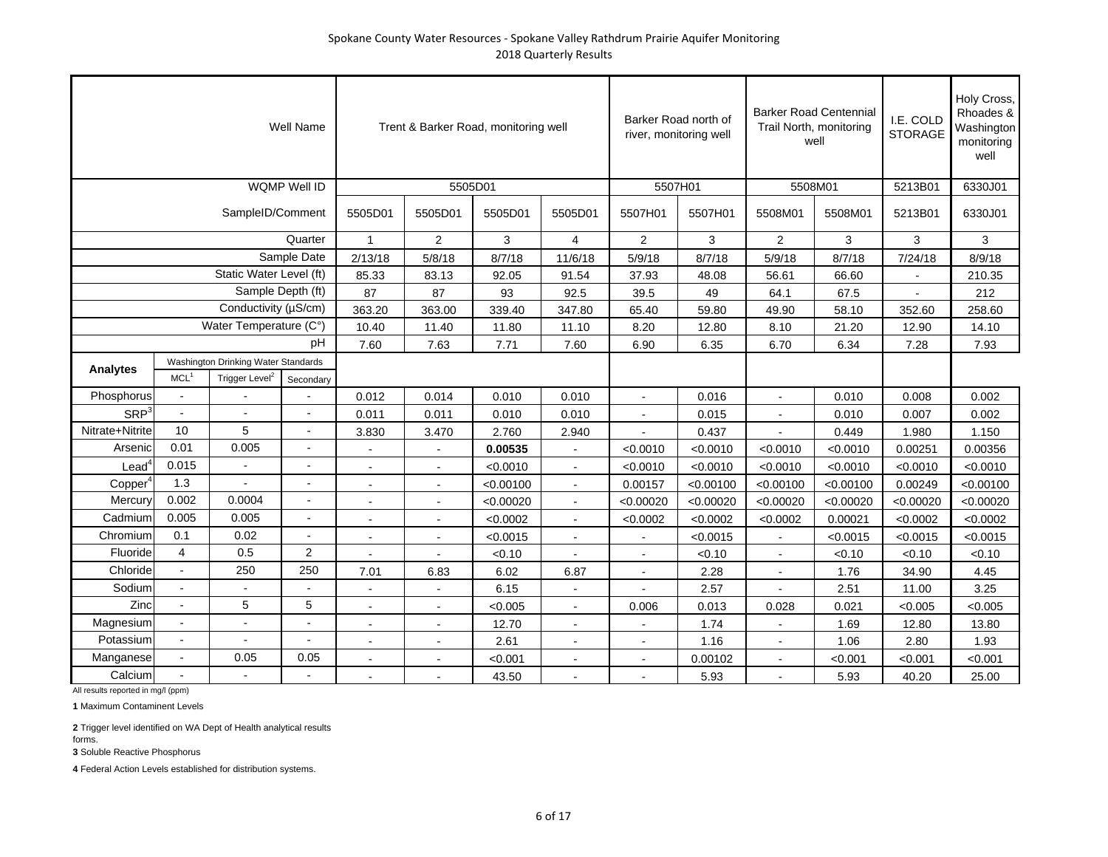|                     |                          |                                     | <b>Well Name</b>    |                |                          | Trent & Barker Road, monitoring well |                |                | Barker Road north of<br>river, monitoring well |                | <b>Barker Road Centennial</b><br>Trail North, monitoring<br>well | I.E. COLD<br><b>STORAGE</b> | Holy Cross,<br>Rhoades &<br>Washington<br>monitoring<br>well |
|---------------------|--------------------------|-------------------------------------|---------------------|----------------|--------------------------|--------------------------------------|----------------|----------------|------------------------------------------------|----------------|------------------------------------------------------------------|-----------------------------|--------------------------------------------------------------|
|                     |                          |                                     | <b>WQMP Well ID</b> |                |                          | 5505D01                              |                |                | 5507H01                                        |                | 5508M01                                                          | 5213B01                     | 6330J01                                                      |
|                     |                          | SampleID/Comment                    |                     | 5505D01        | 5505D01                  | 5505D01                              | 5505D01        | 5507H01        | 5507H01                                        | 5508M01        | 5508M01                                                          | 5213B01                     | 6330J01                                                      |
|                     |                          |                                     | Quarter             | $\mathbf{1}$   | $\overline{2}$           | 3                                    | $\overline{4}$ | $\overline{2}$ | 3                                              | $\overline{2}$ | 3                                                                | 3                           | 3                                                            |
|                     |                          |                                     | Sample Date         | 2/13/18        | 5/8/18                   | 8/7/18                               | 11/6/18        | 5/9/18         | 8/7/18                                         | 5/9/18         | 8/7/18                                                           | 7/24/18                     | 8/9/18                                                       |
|                     |                          | Static Water Level (ft)             |                     | 85.33          | 83.13                    | 92.05                                | 91.54          | 37.93          | 48.08                                          | 56.61          | 66.60                                                            |                             | 210.35                                                       |
|                     |                          | Sample Depth (ft)                   |                     | 87             | 87                       | 93                                   | 92.5           | 39.5           | 49                                             | 64.1           | 67.5                                                             |                             | 212                                                          |
|                     |                          | Conductivity (µS/cm)                |                     | 363.20         | 363.00                   | 339.40                               | 347.80         | 65.40          | 59.80                                          | 49.90          | 58.10                                                            | 352.60                      | 258.60                                                       |
|                     |                          | Water Temperature (C°)              |                     | 10.40          | 11.40                    | 11.80                                | 11.10          | 8.20           | 12.80                                          | 8.10           | 21.20                                                            | 12.90                       | 14.10                                                        |
|                     |                          |                                     | рH                  | 7.60           | 7.63                     | 7.71                                 | 7.60           | 6.90           | 6.35                                           | 6.70           | 6.34                                                             | 7.28                        | 7.93                                                         |
| Analytes            |                          | Washington Drinking Water Standards |                     |                |                          |                                      |                |                |                                                |                |                                                                  |                             |                                                              |
|                     | MCL <sup>1</sup>         | Trigger Level <sup>2</sup>          | Secondary           |                |                          |                                      |                |                |                                                |                |                                                                  |                             |                                                              |
| Phosphorus          |                          |                                     |                     | 0.012          | 0.014                    | 0.010                                | 0.010          | $\overline{a}$ | 0.016                                          | $\sim$         | 0.010                                                            | 0.008                       | 0.002                                                        |
| SRP <sup>3</sup>    | $\overline{a}$           | $\overline{a}$                      | $\blacksquare$      | 0.011          | 0.011                    | 0.010                                | 0.010          | $\blacksquare$ | 0.015                                          |                | 0.010                                                            | 0.007                       | 0.002                                                        |
| Nitrate+Nitrite     | 10                       | 5                                   |                     | 3.830          | 3.470                    | 2.760                                | 2.940          |                | 0.437                                          |                | 0.449                                                            | 1.980                       | 1.150                                                        |
| Arsenic             | 0.01                     | 0.005                               | $\blacksquare$      | $\sim$         | $\sim$                   | 0.00535                              | $\sim$         | < 0.0010       | < 0.0010                                       | < 0.0010       | < 0.0010                                                         | 0.00251                     | 0.00356                                                      |
| $\text{Lead}^4$     | 0.015                    |                                     | $\overline{a}$      |                |                          | < 0.0010                             |                | < 0.0010       | < 0.0010                                       | < 0.0010       | < 0.0010                                                         | < 0.0010                    | < 0.0010                                                     |
| Copper <sup>4</sup> | 1.3                      |                                     |                     |                |                          | < 0.00100                            |                | 0.00157        | < 0.00100                                      | < 0.00100      | < 0.00100                                                        | 0.00249                     | < 0.00100                                                    |
| Mercury             | 0.002                    | 0.0004                              |                     | $\blacksquare$ | $\overline{\phantom{a}}$ | < 0.00020                            | $\blacksquare$ | < 0.00020      | < 0.00020                                      | < 0.00020      | < 0.00020                                                        | < 0.00020                   | < 0.00020                                                    |
| Cadmium             | 0.005                    | 0.005                               | $\blacksquare$      | $\blacksquare$ | $\sim$                   | < 0.0002                             | $\sim$         | < 0.0002       | < 0.0002                                       | < 0.0002       | 0.00021                                                          | < 0.0002                    | < 0.0002                                                     |
| Chromium            | 0.1                      | 0.02                                | $\blacksquare$      |                | $\overline{a}$           | < 0.0015                             |                |                | < 0.0015                                       |                | < 0.0015                                                         | < 0.0015                    | < 0.0015                                                     |
| Fluoride            | 4                        | 0.5                                 | $\overline{2}$      |                |                          | < 0.10                               |                |                | < 0.10                                         |                | < 0.10                                                           | < 0.10                      | < 0.10                                                       |
| Chloride            | $\blacksquare$           | 250                                 | 250                 | 7.01           | 6.83                     | 6.02                                 | 6.87           |                | 2.28                                           |                | 1.76                                                             | 34.90                       | 4.45                                                         |
| Sodium              |                          |                                     |                     |                |                          | 6.15                                 |                |                | 2.57                                           |                | 2.51                                                             | 11.00                       | 3.25                                                         |
| Zinc                |                          | 5                                   | 5                   |                |                          | < 0.005                              |                | 0.006          | 0.013                                          | 0.028          | 0.021                                                            | < 0.005                     | < 0.005                                                      |
| Magnesium           |                          |                                     |                     |                |                          | 12.70                                |                |                | 1.74                                           |                | 1.69                                                             | 12.80                       | 13.80                                                        |
| Potassium           | $\blacksquare$           | $\blacksquare$                      | $\blacksquare$      | $\blacksquare$ | $\blacksquare$           | 2.61                                 | $\blacksquare$ | $\blacksquare$ | 1.16                                           | $\blacksquare$ | 1.06                                                             | 2.80                        | 1.93                                                         |
| Manganese           | $\blacksquare$           | 0.05                                | 0.05                |                |                          | < 0.001                              |                |                | 0.00102                                        |                | < 0.001                                                          | < 0.001                     | < 0.001                                                      |
| Calcium             | $\overline{\phantom{a}}$ |                                     |                     |                |                          | 43.50                                |                |                | 5.93                                           |                | 5.93                                                             | 40.20                       | 25.00                                                        |

All results reported in mg/l (ppm)

**1** Maximum Contaminent Levels

**2** Trigger level identified on WA Dept of Health analytical results forms.

**3** Soluble Reactive Phosphorus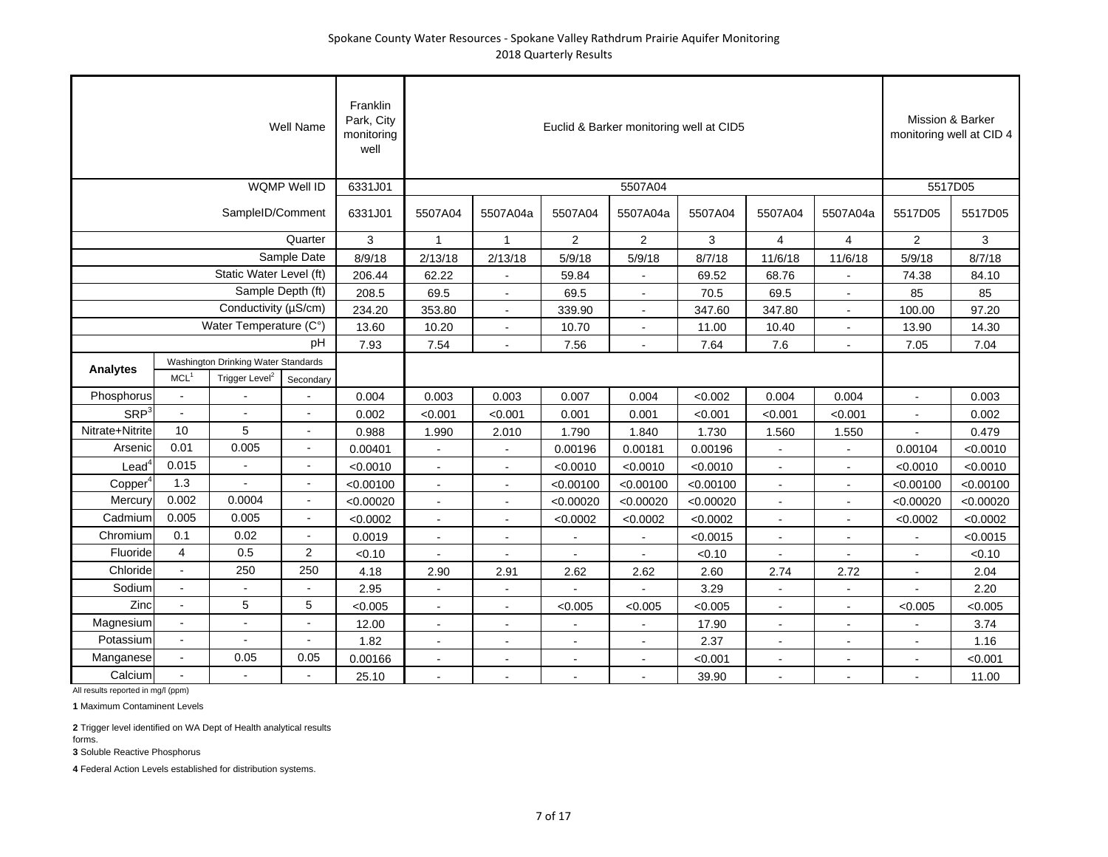|                         |                                                                                                                                         |                         | Well Name      | Franklin<br>Park, City<br>monitoring<br>well |                      |                |                |                | Euclid & Barker monitoring well at CID5 |                |                | Mission & Barker | monitoring well at CID 4 |
|-------------------------|-----------------------------------------------------------------------------------------------------------------------------------------|-------------------------|----------------|----------------------------------------------|----------------------|----------------|----------------|----------------|-----------------------------------------|----------------|----------------|------------------|--------------------------|
|                         |                                                                                                                                         |                         | WQMP Well ID   | 6331J01                                      |                      |                |                | 5507A04        |                                         |                |                |                  | 5517D05                  |
|                         |                                                                                                                                         | SampleID/Comment        |                | 6331J01                                      | 5507A04              | 5507A04a       | 5507A04        | 5507A04a       | 5507A04                                 | 5507A04        | 5507A04a       | 5517D05          | 5517D05                  |
|                         |                                                                                                                                         |                         | Quarter        | 3                                            | $\mathbf{1}$         | $\mathbf{1}$   | 2              | $\overline{2}$ | 3                                       | $\overline{4}$ | $\overline{4}$ | 2                | 3                        |
|                         |                                                                                                                                         |                         | Sample Date    | 8/9/18                                       | 2/13/18              | 2/13/18        | 5/9/18         | 5/9/18         | 8/7/18                                  | 11/6/18        | 11/6/18        | 5/9/18           | 8/7/18                   |
|                         |                                                                                                                                         | Static Water Level (ft) |                | 206.44                                       | 62.22                |                | 59.84          |                | 69.52                                   | 68.76          |                | 74.38            | 84.10                    |
|                         |                                                                                                                                         | Sample Depth (ft)       |                | 208.5                                        | 69.5                 | $\sim$         | 69.5           |                | 70.5                                    | 69.5           | $\blacksquare$ | 85               | 85                       |
|                         |                                                                                                                                         | Conductivity (µS/cm)    |                | 234.20                                       | 353.80               | $\sim$         | 339.90         |                | 347.60                                  | 347.80         | $\overline{a}$ | 100.00           | 97.20                    |
|                         |                                                                                                                                         | Water Temperature (C°)  |                | 13.60                                        | 10.20                |                | 10.70          |                | 11.00                                   | 10.40          |                | 13.90            | 14.30                    |
|                         |                                                                                                                                         |                         | рH             | 7.93                                         | 7.54                 |                | 7.56           |                | 7.64                                    | 7.6            |                | 7.05             | 7.04                     |
|                         |                                                                                                                                         |                         |                |                                              |                      |                |                |                |                                         |                |                |                  |                          |
|                         | <b>Analytes</b><br>MCL <sup>1</sup><br>Trigger Level <sup>2</sup><br>Secondary                                                          |                         |                |                                              |                      |                |                |                |                                         |                |                |                  |                          |
| Phosphorus              | Washington Drinking Water Standards<br>0.004<br>0.003<br>0.003<br>0.007<br>0.004<br>< 0.002<br>0.004<br>0.004<br>$\sim$                 |                         |                |                                              |                      |                |                |                |                                         |                |                | $\sim$           | 0.003                    |
| <b>SRP</b> <sup>3</sup> | $\sim$                                                                                                                                  | $\overline{a}$          | $\blacksquare$ | 0.002                                        | < 0.001              | < 0.001        | 0.001          | 0.001          | < 0.001                                 | < 0.001        | < 0.001        | $\overline{a}$   | 0.002                    |
| Nitrate+Nitrite         | 10                                                                                                                                      | 5                       | $\blacksquare$ | 0.988                                        | 1.990                | 2.010          | 1.790          | 1.840          | 1.730                                   | 1.560          | 1.550          |                  | 0.479                    |
| Arsenic                 | 0.01                                                                                                                                    | 0.005                   | $\blacksquare$ | 0.00401                                      | $\blacksquare$       | $\blacksquare$ | 0.00196        | 0.00181        | 0.00196                                 | $\sim$         | $\blacksquare$ | 0.00104          | < 0.0010                 |
| Lead                    | 0.015                                                                                                                                   |                         | ÷.             | < 0.0010                                     |                      |                | < 0.0010       | < 0.0010       | < 0.0010                                |                |                | < 0.0010         | < 0.0010                 |
| Copper <sup>4</sup>     | 1.3                                                                                                                                     |                         |                | < 0.00100                                    | $\ddot{\phantom{a}}$ | $\sim$         | < 0.00100      | < 0.00100      | < 0.00100                               | $\sim$         |                | < 0.00100        | < 0.00100                |
| Mercury                 | 0.002                                                                                                                                   | 0.0004                  | $\blacksquare$ | < 0.00020                                    | $\blacksquare$       | $\blacksquare$ | < 0.00020      | < 0.00020      | < 0.00020                               | $\sim$         | $\blacksquare$ | < 0.00020        | < 0.00020                |
| Cadmium                 | 0.005                                                                                                                                   | 0.005                   | $\blacksquare$ | < 0.0002                                     | $\blacksquare$       | $\blacksquare$ | < 0.0002       | < 0.0002       | < 0.0002                                | $\sim$         | $\blacksquare$ | < 0.0002         | < 0.0002                 |
| Chromium                | 0.1                                                                                                                                     | 0.02                    | $\blacksquare$ | 0.0019                                       | $\overline{a}$       |                |                |                | < 0.0015                                |                |                |                  | < 0.0015                 |
| Fluoride                | $\overline{4}$                                                                                                                          | 0.5                     | $\overline{c}$ | < 0.10                                       |                      |                |                |                | < 0.10                                  |                |                |                  | < 0.10                   |
| Chloride                | $\blacksquare$                                                                                                                          | 250                     | 250            | 4.18                                         | 2.90                 | 2.91           | 2.62           | 2.62           | 2.60                                    | 2.74           | 2.72           | $\blacksquare$   | 2.04                     |
| Sodium                  |                                                                                                                                         |                         |                | 2.95                                         | ÷.                   |                |                |                | 3.29                                    |                |                |                  | 2.20                     |
| Zinc                    |                                                                                                                                         | 5                       | 5              | < 0.005                                      |                      |                | < 0.005        | < 0.005        | < 0.005                                 |                |                | < 0.005          | < 0.005                  |
| Magnesium               |                                                                                                                                         | $\sim$                  |                | 12.00                                        | $\blacksquare$       |                |                |                | 17.90                                   |                |                |                  | 3.74                     |
|                         | Potassium<br>1.82<br>$\blacksquare$<br>$\blacksquare$<br>$\overline{\phantom{a}}$<br>$\blacksquare$<br>$\blacksquare$<br>$\blacksquare$ |                         |                |                                              |                      |                |                |                | 2.37                                    | $\blacksquare$ | $\blacksquare$ | $\blacksquare$   | 1.16                     |
| Manganese               | $\blacksquare$                                                                                                                          | 0.05                    | 0.05           | 0.00166                                      | ÷                    |                | $\overline{a}$ | $\sim$         | < 0.001                                 |                | $\blacksquare$ | $\blacksquare$   | < 0.001                  |
| Calcium                 | $\sim$                                                                                                                                  |                         |                | 25.10                                        |                      |                |                |                | 39.90                                   |                |                |                  | 11.00                    |

**1** Maximum Contaminent Levels

**2** Trigger level identified on WA Dept of Health analytical results forms.

**3** Soluble Reactive Phosphorus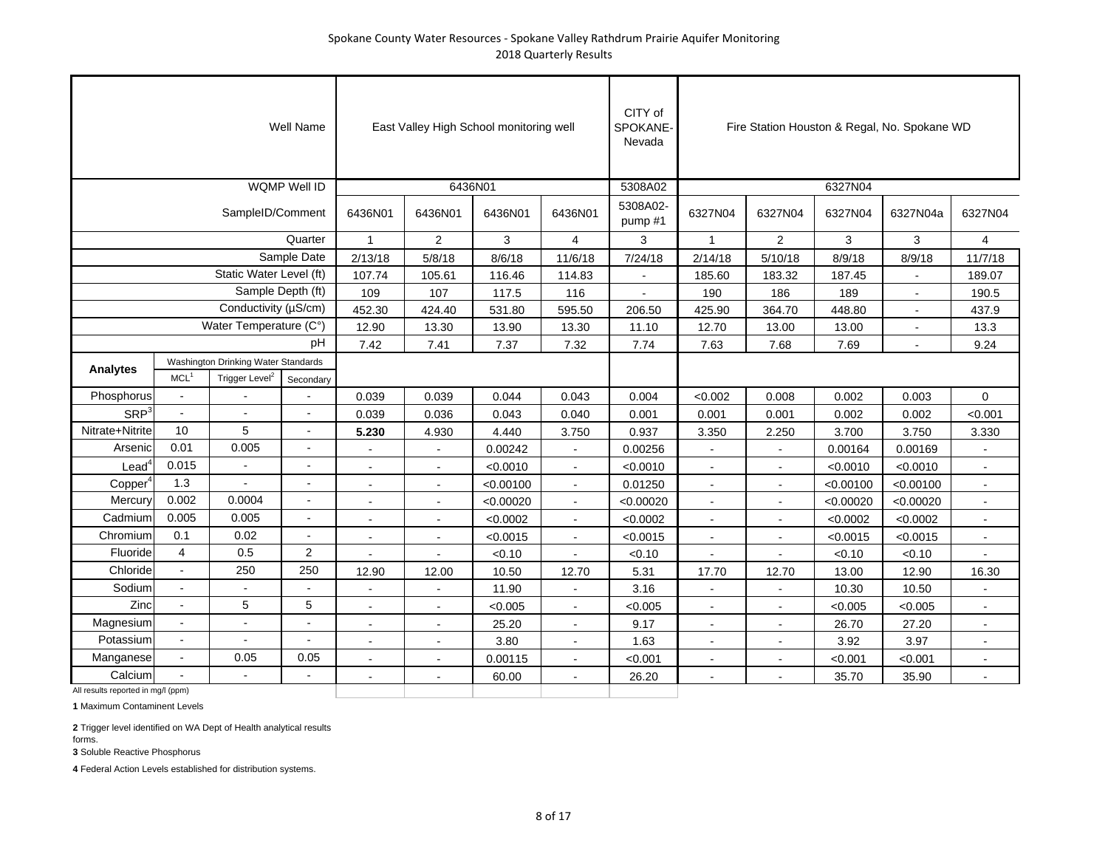|                                    |                       |                                     | <b>Well Name</b>         |                          |                | East Valley High School monitoring well |                | CITY of<br>SPOKANE-<br>Nevada |                          |                |           | Fire Station Houston & Regal, No. Spokane WD |                          |
|------------------------------------|-----------------------|-------------------------------------|--------------------------|--------------------------|----------------|-----------------------------------------|----------------|-------------------------------|--------------------------|----------------|-----------|----------------------------------------------|--------------------------|
|                                    |                       |                                     | <b>WQMP Well ID</b>      |                          | 6436N01        |                                         |                | 5308A02                       |                          |                | 6327N04   |                                              |                          |
|                                    |                       | SampleID/Comment                    |                          | 6436N01                  | 6436N01        | 6436N01                                 | 6436N01        | 5308A02-<br>pump #1           | 6327N04                  | 6327N04        | 6327N04   | 6327N04a                                     | 6327N04                  |
|                                    |                       |                                     | Quarter                  | $\mathbf{1}$             | $\overline{2}$ | 3                                       | $\overline{4}$ | 3                             | $\mathbf{1}$             | 2              | 3         | 3                                            | $\overline{4}$           |
|                                    |                       |                                     | Sample Date              | 2/13/18                  | 5/8/18         | 8/6/18                                  | 11/6/18        | 7/24/18                       | 2/14/18                  | 5/10/18        | 8/9/18    | 8/9/18                                       | 11/7/18                  |
|                                    |                       | Static Water Level (ft)             |                          | 107.74                   | 105.61         | 116.46                                  | 114.83         | $\blacksquare$                | 185.60                   | 183.32         | 187.45    | $\blacksquare$                               | 189.07                   |
|                                    |                       | Sample Depth (ft)                   |                          | 109                      | 107            | 117.5                                   | 116            | $\blacksquare$                | 190                      | 186            | 189       | $\blacksquare$                               | 190.5                    |
|                                    |                       | Conductivity (µS/cm)                |                          | 452.30                   | 424.40         | 531.80                                  | 595.50         | 206.50                        | 425.90                   | 364.70         | 448.80    | $\blacksquare$                               | 437.9                    |
|                                    |                       | Water Temperature (C°)              |                          | 12.90                    | 13.30          | 13.90                                   | 13.30          | 11.10                         | 12.70                    | 13.00          | 13.00     | $\overline{a}$                               | 13.3                     |
|                                    |                       |                                     | pH                       | 7.42                     | 7.41           | 7.37                                    | 7.32           | 7.74                          | 7.63                     | 7.68           | 7.69      |                                              | 9.24                     |
| <b>Analytes</b>                    |                       | Washington Drinking Water Standards |                          |                          |                |                                         |                |                               |                          |                |           |                                              |                          |
|                                    | MCL <sup>1</sup>      | Trigger Level <sup>2</sup>          | Secondary                |                          |                |                                         |                |                               |                          |                |           |                                              |                          |
| Phosphorus                         | $\omega$              |                                     |                          | 0.039                    | 0.039          | 0.044                                   | 0.043          | 0.004                         | < 0.002                  | 0.008          | 0.002     | 0.003                                        | $\Omega$                 |
| SRP <sup>3</sup>                   | $\tilde{\phantom{a}}$ |                                     | $\sim$                   | 0.039                    | 0.036          | 0.043                                   | 0.040          | 0.001                         | 0.001                    | 0.001          | 0.002     | 0.002                                        | < 0.001                  |
| Nitrate+Nitrite                    | 10                    | 5                                   |                          | 5.230                    | 4.930          | 4.440                                   | 3.750          | 0.937                         | 3.350                    | 2.250          | 3.700     | 3.750                                        | 3.330                    |
| Arsenic                            | 0.01                  | 0.005                               |                          |                          |                | 0.00242                                 |                | 0.00256                       |                          |                | 0.00164   | 0.00169                                      |                          |
| $\textsf{lead}^4$                  | 0.015                 |                                     |                          |                          |                | < 0.0010                                |                | < 0.0010                      |                          |                | < 0.0010  | < 0.0010                                     |                          |
| Copper <sup>4</sup>                | 1.3                   |                                     |                          |                          |                | < 0.00100                               |                | 0.01250                       |                          | $\overline{a}$ | < 0.00100 | < 0.00100                                    |                          |
| Mercury                            | 0.002                 | 0.0004                              | $\overline{\phantom{a}}$ | $\sim$                   | $\blacksquare$ | < 0.00020                               | $\sim$         | < 0.00020                     | $\sim$                   | $\blacksquare$ | < 0.00020 | < 0.00020                                    | $\blacksquare$           |
| Cadmium                            | 0.005                 | 0.005                               | $\blacksquare$           | $\overline{\phantom{a}}$ | $\sim$         | < 0.0002                                | $\blacksquare$ | < 0.0002                      | $\blacksquare$           | $\blacksquare$ | < 0.0002  | < 0.0002                                     | $\overline{\phantom{a}}$ |
| Chromium                           | 0.1                   | 0.02                                |                          |                          |                | < 0.0015                                |                | < 0.0015                      | $\sim$                   |                | < 0.0015  | < 0.0015                                     |                          |
| Fluoride                           | $\overline{4}$        | 0.5                                 | $\overline{2}$           |                          |                | < 0.10                                  |                | < 0.10                        |                          |                | < 0.10    | < 0.10                                       |                          |
| Chloride                           | $\sim$                | 250                                 | 250                      | 12.90                    | 12.00          | 10.50                                   | 12.70          | 5.31                          | 17.70                    | 12.70          | 13.00     | 12.90                                        | 16.30                    |
| Sodium                             |                       |                                     |                          |                          |                | 11.90                                   |                | 3.16                          | $\overline{\phantom{a}}$ |                | 10.30     | 10.50                                        |                          |
| Zinc                               | $\blacksquare$        | 5                                   | 5                        | $\overline{a}$           | $\sim$         | < 0.005                                 | $\sim$         | < 0.005                       | $\overline{\phantom{a}}$ | $\overline{a}$ | < 0.005   | < 0.005                                      |                          |
| Magnesium                          | $\sim$                | $\overline{\phantom{a}}$            | $\sim$                   | L.                       |                | 25.20                                   |                | 9.17                          | $\sim$                   |                | 26.70     | 27.20                                        |                          |
| Potassium                          |                       |                                     |                          |                          |                | 3.80                                    |                | 1.63                          |                          |                | 3.92      | 3.97                                         |                          |
| Manganese                          |                       | 0.05                                | 0.05                     |                          |                | 0.00115                                 |                | < 0.001                       |                          |                | < 0.001   | < 0.001                                      |                          |
| Calcium                            |                       |                                     |                          |                          |                | 60.00                                   |                | 26.20                         |                          |                | 35.70     | 35.90                                        |                          |
| All results reported in mg/l (ppm) |                       |                                     |                          |                          |                |                                         |                |                               |                          |                |           |                                              |                          |

**1** Maximum Contaminent Levels

**2** Trigger level identified on WA Dept of Health analytical results

forms.

**3** Soluble Reactive Phosphorus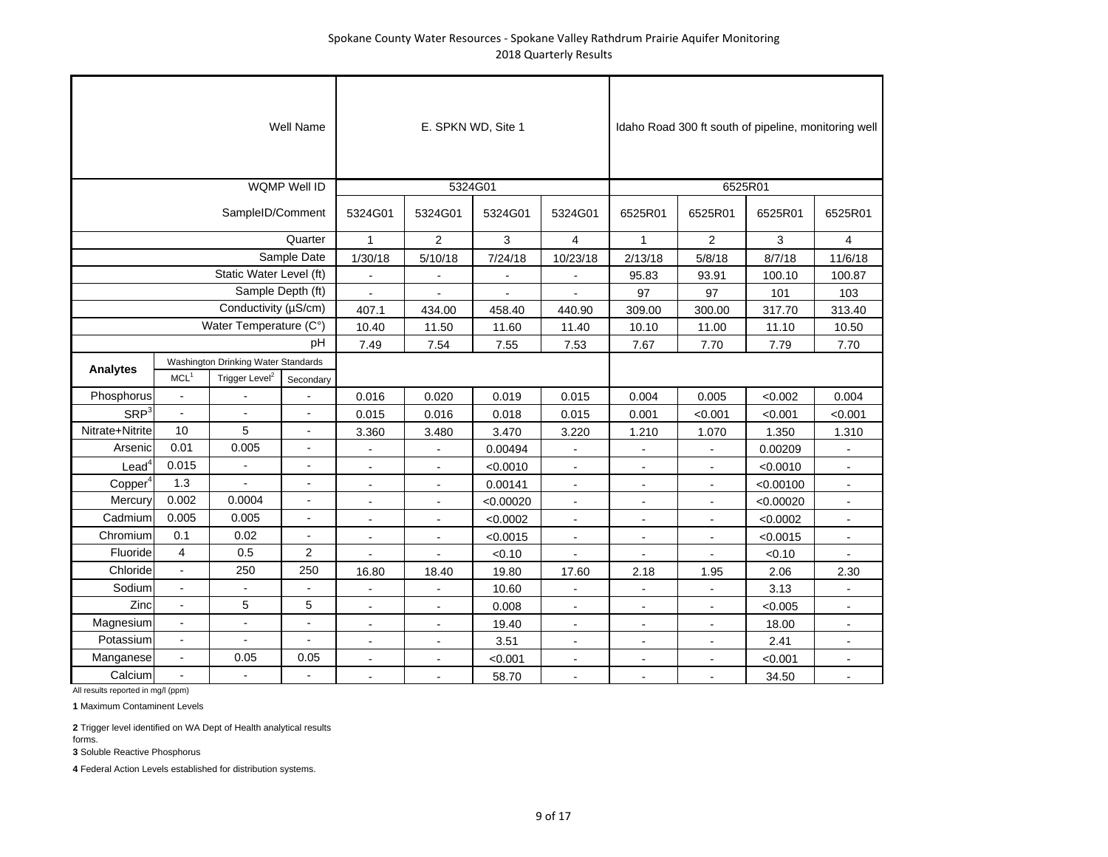|                     |                          |                                                                   | <b>Well Name</b>    |                | E. SPKN WD, Site 1 |           |                |                          | Idaho Road 300 ft south of pipeline, monitoring well |              |                         |
|---------------------|--------------------------|-------------------------------------------------------------------|---------------------|----------------|--------------------|-----------|----------------|--------------------------|------------------------------------------------------|--------------|-------------------------|
|                     |                          |                                                                   | <b>WQMP Well ID</b> |                | 5324G01            |           |                |                          | 6525R01                                              |              |                         |
|                     |                          | SampleID/Comment                                                  |                     | 5324G01        | 5324G01            | 5324G01   | 5324G01        | 6525R01                  | 6525R01                                              | 6525R01      | 6525R01                 |
|                     |                          |                                                                   | Quarter             | $\mathbf{1}$   | 2                  | 3         | 4              | $\mathbf{1}$             | $\overline{c}$                                       | $\mathbf{3}$ | $\overline{\mathbf{4}}$ |
|                     |                          |                                                                   | Sample Date         | 1/30/18        | 5/10/18            | 7/24/18   | 10/23/18       | 2/13/18                  | 5/8/18                                               | 8/7/18       | 11/6/18                 |
|                     |                          | Static Water Level (ft)                                           |                     |                |                    |           |                | 95.83                    | 93.91                                                | 100.10       | 100.87                  |
|                     |                          | Sample Depth (ft)                                                 |                     | $\overline{a}$ |                    |           |                | 97                       | 97                                                   | 101          | 103                     |
|                     |                          | Conductivity (µS/cm)                                              |                     | 407.1          | 434.00             | 458.40    | 440.90         | 309.00                   | 300.00                                               | 317.70       | 313.40                  |
|                     |                          | Water Temperature (C°)                                            |                     | 10.40          | 11.50              | 11.60     | 11.40          | 10.10                    | 11.00                                                | 11.10        | 10.50                   |
|                     |                          |                                                                   | pH                  | 7.49           | 7.54               | 7.55      | 7.53           | 7.67                     | 7.70                                                 | 7.79         | 7.70                    |
| <b>Analytes</b>     | MCL <sup>1</sup>         | Washington Drinking Water Standards<br>Trigger Level <sup>2</sup> |                     |                |                    |           |                |                          |                                                      |              |                         |
| Phosphorus          | $\blacksquare$           |                                                                   | Secondary           | 0.016          | 0.020              | 0.019     | 0.015          | 0.004                    | 0.005                                                | < 0.002      | 0.004                   |
| SRP <sup>3</sup>    | $\overline{a}$           |                                                                   |                     | 0.015          | 0.016              | 0.018     | 0.015          | 0.001                    | < 0.001                                              | < 0.001      | < 0.001                 |
| Nitrate+Nitrite     | 10                       | 5                                                                 | $\blacksquare$      | 3.360          | 3.480              | 3.470     | 3.220          | 1.210                    | 1.070                                                | 1.350        | 1.310                   |
| Arsenic             | 0.01                     | 0.005                                                             |                     | ٠              |                    | 0.00494   | $\sim$         | $\overline{a}$           | $\blacksquare$                                       | 0.00209      |                         |
| $\textsf{lead}^4$   | 0.015                    |                                                                   |                     | L.             |                    | < 0.0010  |                | ÷.                       | L.                                                   | < 0.0010     |                         |
| Copper <sup>4</sup> | 1.3                      | $\overline{a}$                                                    |                     | $\blacksquare$ | $\blacksquare$     | 0.00141   |                | $\overline{\phantom{a}}$ | $\blacksquare$                                       | < 0.00100    |                         |
| Mercury             | 0.002                    | 0.0004                                                            |                     | $\blacksquare$ | $\blacksquare$     | < 0.00020 | $\blacksquare$ | $\blacksquare$           | $\blacksquare$                                       | < 0.00020    | $\blacksquare$          |
| Cadmium             | 0.005                    | 0.005                                                             | $\blacksquare$      | $\blacksquare$ | $\blacksquare$     | < 0.0002  | $\blacksquare$ | $\blacksquare$           | $\blacksquare$                                       | < 0.0002     | $\overline{a}$          |
| Chromium            | 0.1                      | 0.02                                                              | $\mathbf{r}$        | $\overline{a}$ |                    | < 0.0015  | $\blacksquare$ |                          | ÷,                                                   | < 0.0015     |                         |
| Fluoride            | $\overline{4}$           | 0.5                                                               | $\overline{2}$      |                |                    | < 0.10    |                |                          |                                                      | < 0.10       |                         |
| Chloride            | $\blacksquare$           | 250                                                               | 250                 | 16.80          | 18.40              | 19.80     | 17.60          | 2.18                     | 1.95                                                 | 2.06         | 2.30                    |
| Sodium              | ÷.                       |                                                                   |                     |                |                    | 10.60     |                |                          |                                                      | 3.13         |                         |
| Zinc                | ÷.                       | 5                                                                 | 5                   | ÷              |                    | 0.008     |                |                          | ÷                                                    | < 0.005      |                         |
| Magnesium           | $\overline{a}$           | $\blacksquare$                                                    |                     | $\blacksquare$ | $\blacksquare$     | 19.40     | $\blacksquare$ | $\blacksquare$           | $\blacksquare$                                       | 18.00        | $\blacksquare$          |
| Potassium           | $\overline{\phantom{a}}$ | $\blacksquare$                                                    | $\blacksquare$      | $\blacksquare$ | $\blacksquare$     | 3.51      | $\blacksquare$ | $\blacksquare$           | $\blacksquare$                                       | 2.41         | $\blacksquare$          |
| Manganese           | $\blacksquare$           | 0.05                                                              | 0.05                | $\overline{a}$ |                    | < 0.001   | $\blacksquare$ |                          |                                                      | < 0.001      |                         |
| Calcium             | $\overline{a}$           |                                                                   |                     |                |                    | 58.70     |                |                          |                                                      | 34.50        |                         |

All results reported in mg/l (ppm)

**1** Maximum Contaminent Levels

**2** Trigger level identified on WA Dept of Health analytical results forms.

**3** Soluble Reactive Phosphorus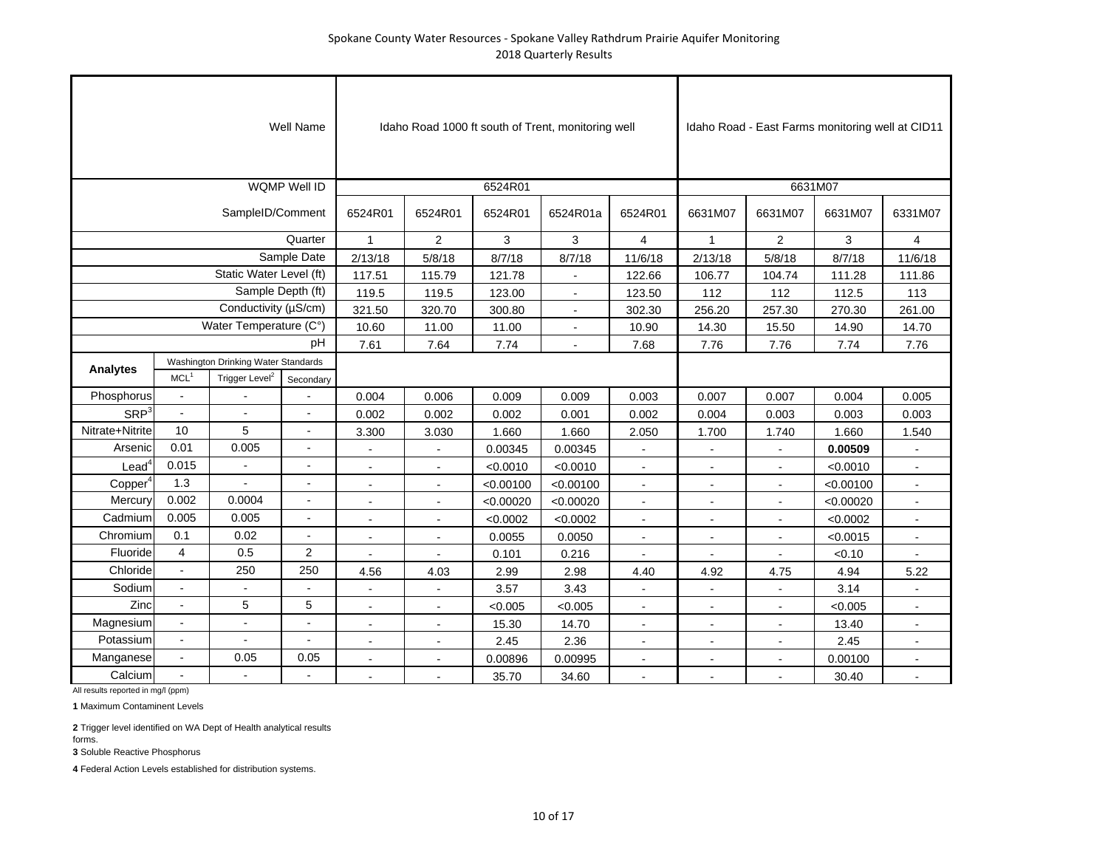|                     |                          |                                     | <b>Well Name</b>    |                          |                |           | Idaho Road 1000 ft south of Trent, monitoring well |                          |                          |                          | Idaho Road - East Farms monitoring well at CID11 |                          |
|---------------------|--------------------------|-------------------------------------|---------------------|--------------------------|----------------|-----------|----------------------------------------------------|--------------------------|--------------------------|--------------------------|--------------------------------------------------|--------------------------|
|                     |                          |                                     | <b>WQMP Well ID</b> |                          |                | 6524R01   |                                                    |                          |                          | 6631M07                  |                                                  |                          |
|                     |                          | SampleID/Comment                    |                     | 6524R01                  | 6524R01        | 6524R01   | 6524R01a                                           | 6524R01                  | 6631M07                  | 6631M07                  | 6631M07                                          | 6331M07                  |
|                     |                          |                                     | Quarter             | $\mathbf{1}$             | 2              | 3         | 3                                                  | $\overline{4}$           | $\mathbf{1}$             | $\overline{2}$           | 3                                                | $\overline{4}$           |
|                     |                          |                                     | Sample Date         | 2/13/18                  | 5/8/18         | 8/7/18    | 8/7/18                                             | 11/6/18                  | 2/13/18                  | 5/8/18                   | 8/7/18                                           | 11/6/18                  |
|                     |                          | Static Water Level (ft)             |                     | 117.51                   | 115.79         | 121.78    | $\blacksquare$                                     | 122.66                   | 106.77                   | 104.74                   | 111.28                                           | 111.86                   |
|                     |                          | Sample Depth (ft)                   |                     | 119.5                    | 119.5          | 123.00    | $\blacksquare$                                     | 123.50                   | 112                      | 112                      | 112.5                                            | 113                      |
|                     |                          | Conductivity (µS/cm)                |                     | 321.50                   | 320.70         | 300.80    | $\ddot{\phantom{a}}$                               | 302.30                   | 256.20                   | 257.30                   | 270.30                                           | 261.00                   |
|                     |                          | Water Temperature (C°)              |                     | 10.60                    | 11.00          | 11.00     | $\blacksquare$                                     | 10.90                    | 14.30                    | 15.50                    | 14.90                                            | 14.70                    |
|                     |                          |                                     | pH                  | 7.61                     | 7.64           | 7.74      | $\blacksquare$                                     | 7.68                     | 7.76                     | 7.76                     | 7.74                                             | 7.76                     |
| Analytes            |                          | Washington Drinking Water Standards |                     |                          |                |           |                                                    |                          |                          |                          |                                                  |                          |
|                     | MCL <sup>1</sup>         | Trigger Level <sup>2</sup>          | Secondary           |                          |                |           |                                                    |                          |                          |                          |                                                  |                          |
| Phosphorus          |                          |                                     |                     | 0.004                    | 0.006          | 0.009     | 0.009                                              | 0.003                    | 0.007                    | 0.007                    | 0.004                                            | 0.005                    |
| SRP <sup>3</sup>    | $\blacksquare$           |                                     |                     | 0.002                    | 0.002          | 0.002     | 0.001                                              | 0.002                    | 0.004                    | 0.003                    | 0.003                                            | 0.003                    |
| Nitrate+Nitrite     | 10                       | 5                                   | $\overline{a}$      | 3.300                    | 3.030          | 1.660     | 1.660                                              | 2.050                    | 1.700                    | 1.740                    | 1.660                                            | 1.540                    |
| Arsenic             | 0.01                     | 0.005                               |                     |                          |                | 0.00345   | 0.00345                                            |                          |                          |                          | 0.00509                                          |                          |
| $\text{Lead}^4$     | 0.015                    | $\overline{\phantom{a}}$            | $\blacksquare$      | $\blacksquare$           | $\sim$         | < 0.0010  | < 0.0010                                           | $\sim$                   | $\sim$                   | $\sim$                   | < 0.0010                                         | $\blacksquare$           |
| Copper <sup>4</sup> | 1.3                      |                                     |                     |                          |                | < 0.00100 | < 0.00100                                          |                          |                          |                          | < 0.00100                                        |                          |
| Mercury             | 0.002                    | 0.0004                              |                     |                          |                | < 0.00020 | < 0.00020                                          | $\blacksquare$           |                          |                          | < 0.00020                                        |                          |
| Cadmium             | 0.005                    | 0.005                               |                     | $\overline{\phantom{a}}$ | $\blacksquare$ | < 0.0002  | < 0.0002                                           | $\overline{\phantom{a}}$ | $\overline{\phantom{a}}$ | $\overline{\phantom{a}}$ | < 0.0002                                         | $\blacksquare$           |
| Chromium            | 0.1                      | 0.02                                | $\blacksquare$      |                          | $\blacksquare$ | 0.0055    | 0.0050                                             | $\blacksquare$           | $\blacksquare$           | $\blacksquare$           | < 0.0015                                         | $\overline{\phantom{a}}$ |
| Fluoride            | $\overline{4}$           | 0.5                                 | $\overline{a}$      |                          | $\overline{a}$ | 0.101     | 0.216                                              |                          |                          |                          | < 0.10                                           |                          |
| Chloride            | $\overline{\phantom{a}}$ | 250                                 | 250                 | 4.56                     | 4.03           | 2.99      | 2.98                                               | 4.40                     | 4.92                     | 4.75                     | 4.94                                             | 5.22                     |
| Sodium              | $\overline{\phantom{a}}$ |                                     |                     | $\sim$                   | $\blacksquare$ | 3.57      | 3.43                                               | $\sim$                   | $\sim$                   | $\sim$                   | 3.14                                             |                          |
| Zinc                |                          | 5                                   | 5                   |                          |                | < 0.005   | < 0.005                                            |                          |                          |                          | < 0.005                                          |                          |
| Magnesium           |                          |                                     |                     |                          |                | 15.30     | 14.70                                              |                          |                          |                          | 13.40                                            |                          |
| Potassium           | $\blacksquare$           | $\blacksquare$                      | $\blacksquare$      | $\blacksquare$           | $\blacksquare$ | 2.45      | 2.36                                               | $\blacksquare$           | $\blacksquare$           | $\blacksquare$           | 2.45                                             | $\blacksquare$           |
| Manganese           | $\blacksquare$           | 0.05                                | 0.05                |                          |                | 0.00896   | 0.00995                                            | $\overline{a}$           |                          | $\blacksquare$           | 0.00100                                          |                          |
| Calcium             | $\overline{a}$           | $\overline{a}$                      |                     |                          |                | 35.70     | 34.60                                              | $\sim$                   |                          |                          | 30.40                                            |                          |

**1** Maximum Contaminent Levels

**2** Trigger level identified on WA Dept of Health analytical results forms.

**3** Soluble Reactive Phosphorus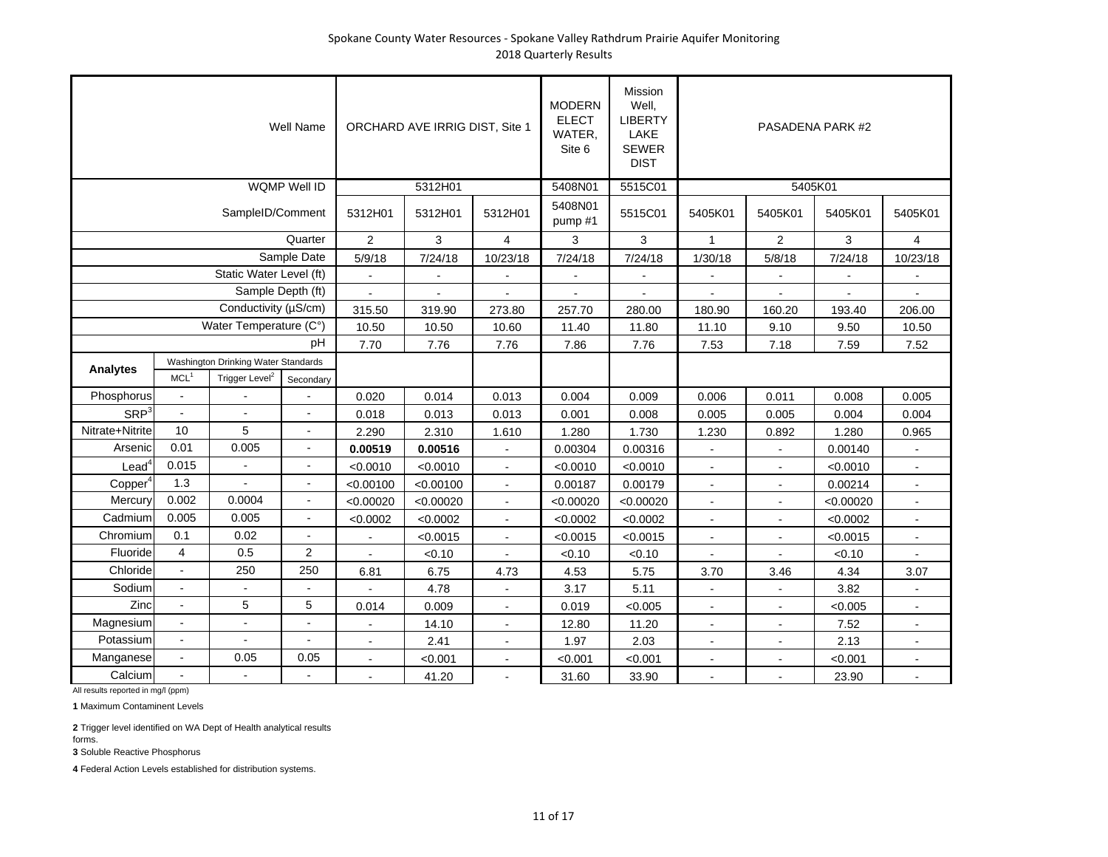|                     |                          |                                                                   | Well Name                |                | ORCHARD AVE IRRIG DIST, Site 1 |                | <b>MODERN</b><br><b>ELECT</b><br>WATER,<br>Site 6 | Mission<br>Well,<br><b>LIBERTY</b><br>LAKE<br><b>SEWER</b><br><b>DIST</b> |                          |                          | PASADENA PARK #2 |                |
|---------------------|--------------------------|-------------------------------------------------------------------|--------------------------|----------------|--------------------------------|----------------|---------------------------------------------------|---------------------------------------------------------------------------|--------------------------|--------------------------|------------------|----------------|
|                     |                          |                                                                   | <b>WQMP Well ID</b>      |                | 5312H01                        |                | 5408N01                                           | 5515C01                                                                   |                          | 5405K01                  |                  |                |
|                     |                          | SampleID/Comment                                                  |                          | 5312H01        | 5312H01                        | 5312H01        | 5408N01<br>pump#1                                 | 5515C01                                                                   | 5405K01                  | 5405K01                  | 5405K01          | 5405K01        |
|                     |                          |                                                                   | Quarter                  | $\overline{2}$ | 3                              | $\overline{4}$ | 3                                                 | 3                                                                         | $\mathbf{1}$             | $\overline{2}$           | 3                | $\overline{4}$ |
|                     |                          |                                                                   | Sample Date              | 5/9/18         | 7/24/18                        | 10/23/18       | 7/24/18                                           | 7/24/18                                                                   | 1/30/18                  | 5/8/18                   | 7/24/18          | 10/23/18       |
|                     |                          | Static Water Level (ft)                                           |                          |                |                                |                |                                                   |                                                                           |                          |                          |                  |                |
|                     |                          | Sample Depth (ft)                                                 |                          |                |                                |                |                                                   |                                                                           |                          |                          |                  |                |
|                     |                          | Conductivity (µS/cm)                                              |                          | 315.50         | 319.90                         | 273.80         | 257.70                                            | 280.00                                                                    | 180.90                   | 160.20                   | 193.40           | 206.00         |
|                     |                          | Water Temperature (C°)                                            |                          | 10.50          | 10.50                          | 10.60          | 11.40                                             | 11.80                                                                     | 11.10                    | 9.10                     | 9.50             | 10.50          |
|                     |                          |                                                                   | pH                       | 7.70           | 7.76                           | 7.76           | 7.86                                              | 7.76                                                                      | 7.53                     | 7.18                     | 7.59             | 7.52           |
| Analytes            | MCL <sup>1</sup>         | Washington Drinking Water Standards<br>Trigger Level <sup>2</sup> | Secondary                |                |                                |                |                                                   |                                                                           |                          |                          |                  |                |
| Phosphorus          | $\blacksquare$           |                                                                   |                          | 0.020          | 0.014                          | 0.013          | 0.004                                             | 0.009                                                                     | 0.006                    | 0.011                    | 0.008            | 0.005          |
| SRP <sup>3</sup>    | $\overline{a}$           |                                                                   | $\overline{a}$           | 0.018          | 0.013                          | 0.013          | 0.001                                             | 0.008                                                                     | 0.005                    | 0.005                    | 0.004            | 0.004          |
| Nitrate+Nitrite     | 10                       | 5                                                                 | $\blacksquare$           | 2.290          | 2.310                          | 1.610          | 1.280                                             | 1.730                                                                     | 1.230                    | 0.892                    | 1.280            | 0.965          |
| Arsenic             | 0.01                     | 0.005                                                             |                          | 0.00519        | 0.00516                        |                | 0.00304                                           | 0.00316                                                                   | $\overline{\phantom{a}}$ | $\overline{\phantom{a}}$ | 0.00140          |                |
| Lead <sup>4</sup>   | 0.015                    |                                                                   |                          | < 0.0010       | < 0.0010                       |                | < 0.0010                                          | < 0.0010                                                                  |                          |                          | < 0.0010         |                |
| Copper <sup>4</sup> | 1.3                      |                                                                   |                          | < 0.00100      | < 0.00100                      | $\overline{a}$ | 0.00187                                           | 0.00179                                                                   | $\blacksquare$           |                          | 0.00214          |                |
| Mercury             | 0.002                    | 0.0004                                                            |                          | < 0.00020      | < 0.00020                      | $\blacksquare$ | < 0.00020                                         | < 0.00020                                                                 | $\blacksquare$           | $\blacksquare$           | < 0.00020        | $\blacksquare$ |
| Cadmium             | 0.005                    | 0.005                                                             | $\sim$                   | < 0.0002       | < 0.0002                       | $\sim$         | < 0.0002                                          | < 0.0002                                                                  | $\blacksquare$           | $\blacksquare$           | < 0.0002         | $\overline{a}$ |
| Chromium            | 0.1                      | 0.02                                                              | $\sim$                   |                | < 0.0015                       | $\blacksquare$ | < 0.0015                                          | < 0.0015                                                                  | $\mathbf{r}$             |                          | < 0.0015         |                |
| Fluoride            | $\overline{4}$           | 0.5                                                               | $\overline{2}$           |                | < 0.10                         |                | < 0.10                                            | < 0.10                                                                    |                          |                          | < 0.10           |                |
| Chloride            | $\omega$                 | 250                                                               | 250                      | 6.81           | 6.75                           | 4.73           | 4.53                                              | 5.75                                                                      | 3.70                     | 3.46                     | 4.34             | 3.07           |
| Sodium              | $\blacksquare$           |                                                                   |                          |                | 4.78                           |                | 3.17                                              | 5.11                                                                      | $\sim$                   |                          | 3.82             |                |
| Zinc                | $\overline{a}$           | 5                                                                 | 5                        | 0.014          | 0.009                          |                | 0.019                                             | < 0.005                                                                   |                          |                          | < 0.005          |                |
| Magnesium           | $\blacksquare$           | $\sim$                                                            |                          |                | 14.10                          | $\blacksquare$ | 12.80                                             | 11.20                                                                     |                          | $\overline{\phantom{a}}$ | 7.52             | $\blacksquare$ |
| Potassium           | $\blacksquare$           | $\overline{a}$                                                    | $\overline{\phantom{a}}$ | $\blacksquare$ | 2.41                           | $\sim$         | 1.97                                              | 2.03                                                                      | $\blacksquare$           | $\blacksquare$           | 2.13             | $\blacksquare$ |
| Manganese           | $\blacksquare$           | 0.05                                                              | 0.05                     |                | < 0.001                        | $\blacksquare$ | < 0.001                                           | < 0.001                                                                   | $\blacksquare$           |                          | < 0.001          |                |
| Calcium             | $\overline{\phantom{a}}$ | $\sim$                                                            |                          |                | 41.20                          | $\overline{a}$ | 31.60                                             | 33.90                                                                     |                          |                          | 23.90            |                |

**1** Maximum Contaminent Levels

**2** Trigger level identified on WA Dept of Health analytical results forms.

**3** Soluble Reactive Phosphorus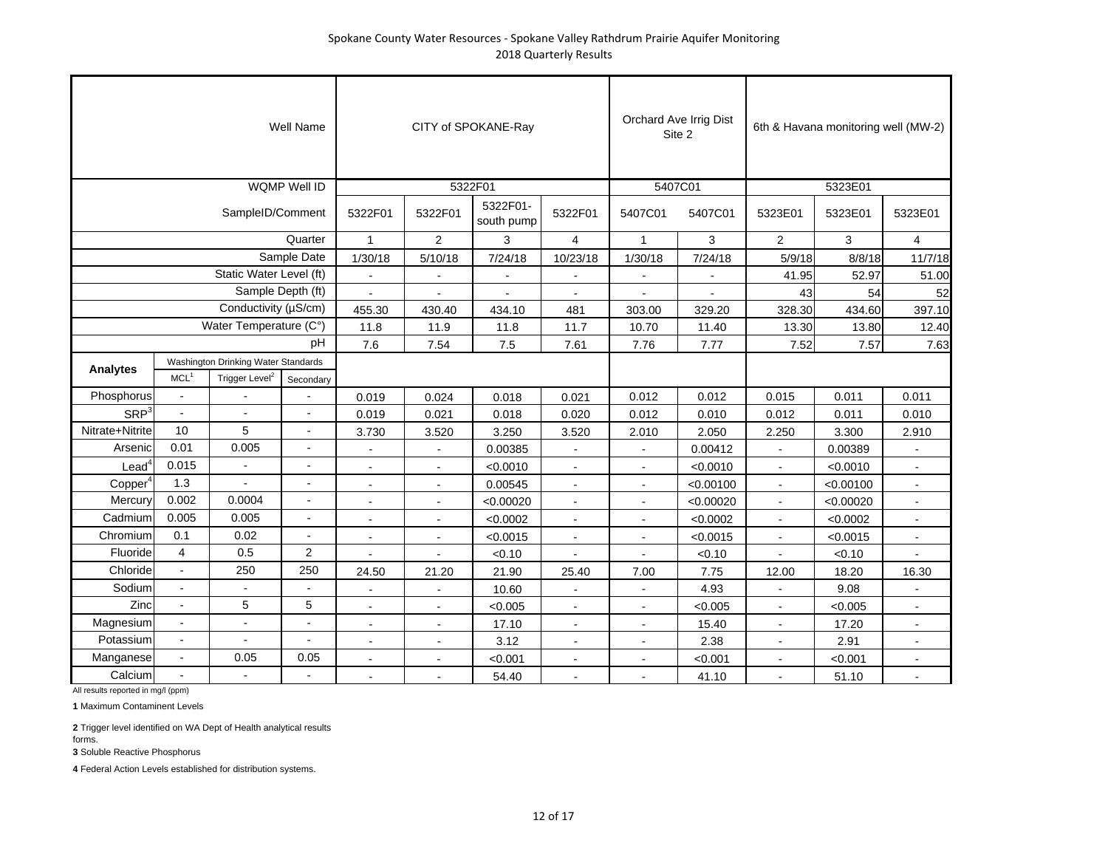|                     |                  |                                     | Well Name           |                |                | CITY of SPOKANE-Ray    |                |                | Orchard Ave Irrig Dist<br>Site 2 |                | 6th & Havana monitoring well (MW-2) |                |
|---------------------|------------------|-------------------------------------|---------------------|----------------|----------------|------------------------|----------------|----------------|----------------------------------|----------------|-------------------------------------|----------------|
|                     |                  |                                     | <b>WQMP Well ID</b> |                |                | 5322F01                |                |                | 5407C01                          |                | 5323E01                             |                |
|                     |                  | SampleID/Comment                    |                     | 5322F01        | 5322F01        | 5322F01-<br>south pump | 5322F01        | 5407C01        | 5407C01                          | 5323E01        | 5323E01                             | 5323E01        |
|                     |                  |                                     | Quarter             | $\mathbf{1}$   | 2              | 3                      | $\overline{4}$ | $\mathbf{1}$   | 3                                | $\overline{2}$ | 3                                   | 4              |
|                     |                  |                                     | Sample Date         | 1/30/18        | 5/10/18        | 7/24/18                | 10/23/18       | 1/30/18        | 7/24/18                          | 5/9/18         | 8/8/18                              | 11/7/18        |
|                     |                  | Static Water Level (ft)             |                     |                |                |                        |                |                |                                  | 41.95          | 52.97                               | 51.00          |
|                     |                  | Sample Depth (ft)                   |                     |                |                |                        |                |                |                                  | 43             | 54                                  | 52             |
|                     |                  | Conductivity ( $\mu$ S/cm)          |                     | 455.30         | 430.40         | 434.10                 | 481            | 303.00         | 329.20                           | 328.30         | 434.60                              | 397.10         |
|                     |                  | Water Temperature (C°)              |                     | 11.8           | 11.9           | 11.8                   | 11.7           | 10.70          | 11.40                            | 13.30          | 13.80                               | 12.40          |
|                     |                  |                                     | pH                  | 7.6            | 7.54           | 7.5                    | 7.61           | 7.76           | 7.77                             | 7.52           | 7.57                                | 7.63           |
| <b>Analytes</b>     |                  | Washington Drinking Water Standards |                     |                |                |                        |                |                |                                  |                |                                     |                |
|                     | MCL <sup>1</sup> | Trigger Level <sup>2</sup>          | Secondary           |                |                |                        |                |                |                                  |                |                                     |                |
| Phosphorus          | $\blacksquare$   |                                     |                     | 0.019          | 0.024          | 0.018                  | 0.021          | 0.012          | 0.012                            | 0.015          | 0.011                               | 0.011          |
| SRP <sup>3</sup>    | $\overline{a}$   |                                     | $\blacksquare$      | 0.019          | 0.021          | 0.018                  | 0.020          | 0.012          | 0.010                            | 0.012          | 0.011                               | 0.010          |
| Nitrate+Nitrite     | 10               | 5                                   | $\blacksquare$      | 3.730          | 3.520          | 3.250                  | 3.520          | 2.010          | 2.050                            | 2.250          | 3.300                               | 2.910          |
| Arsenic             | 0.01             | 0.005                               | $\blacksquare$      | $\overline{a}$ | $\blacksquare$ | 0.00385                |                | $\blacksquare$ | 0.00412                          | $\blacksquare$ | 0.00389                             |                |
| Lead <sup>4</sup>   | 0.015            |                                     | $\blacksquare$      |                |                | < 0.0010               |                |                | < 0.0010                         |                | < 0.0010                            |                |
| Copper <sup>4</sup> | 1.3              |                                     |                     |                |                | 0.00545                |                |                | < 0.00100                        |                | < 0.00100                           |                |
| Mercury             | 0.002            | 0.0004                              |                     | $\blacksquare$ | $\sim$         | < 0.00020              | $\blacksquare$ | $\blacksquare$ | < 0.00020                        | $\blacksquare$ | < 0.00020                           | $\blacksquare$ |
| Cadmium             | 0.005            | 0.005                               | $\overline{a}$      | $\sim$         | $\sim$         | < 0.0002               | $\blacksquare$ | $\sim$         | < 0.0002                         | $\blacksquare$ | < 0.0002                            | $\blacksquare$ |
| Chromium            | 0.1              | 0.02                                | $\blacksquare$      |                |                | < 0.0015               | $\overline{a}$ |                | < 0.0015                         | $\overline{a}$ | < 0.0015                            |                |
| Fluoride            | $\overline{4}$   | 0.5                                 | $\overline{2}$      |                |                | < 0.10                 |                |                | < 0.10                           |                | < 0.10                              |                |
| Chloride            | $\blacksquare$   | 250                                 | 250                 | 24.50          | 21.20          | 21.90                  | 25.40          | 7.00           | 7.75                             | 12.00          | 18.20                               | 16.30          |
| Sodium              |                  |                                     | $\overline{a}$      |                |                | 10.60                  |                |                | 4.93                             |                | 9.08                                |                |
| Zinc                |                  | 5                                   | 5                   |                |                | < 0.005                |                |                | < 0.005                          |                | < 0.005                             |                |
| Magnesium           |                  | $\blacksquare$                      | $\blacksquare$      | $\blacksquare$ | $\blacksquare$ | 17.10                  | $\blacksquare$ | $\blacksquare$ | 15.40                            | $\blacksquare$ | 17.20                               | $\blacksquare$ |
| Potassium           | $\blacksquare$   | $\blacksquare$                      | $\overline{a}$      | $\sim$         | ÷,             | 3.12                   | $\blacksquare$ | $\blacksquare$ | 2.38                             | $\blacksquare$ | 2.91                                | $\blacksquare$ |
| Manganese           | $\blacksquare$   | 0.05                                | 0.05                | $\sim$         | $\overline{a}$ | < 0.001                | ä,             |                | < 0.001                          |                | < 0.001                             |                |
| Calcium             |                  |                                     | $\overline{a}$      |                |                | 54.40                  |                |                | 41.10                            |                | 51.10                               |                |

All results reported in mg/l (ppm)

**1** Maximum Contaminent Levels

**2** Trigger level identified on WA Dept of Health analytical results forms.

**3** Soluble Reactive Phosphorus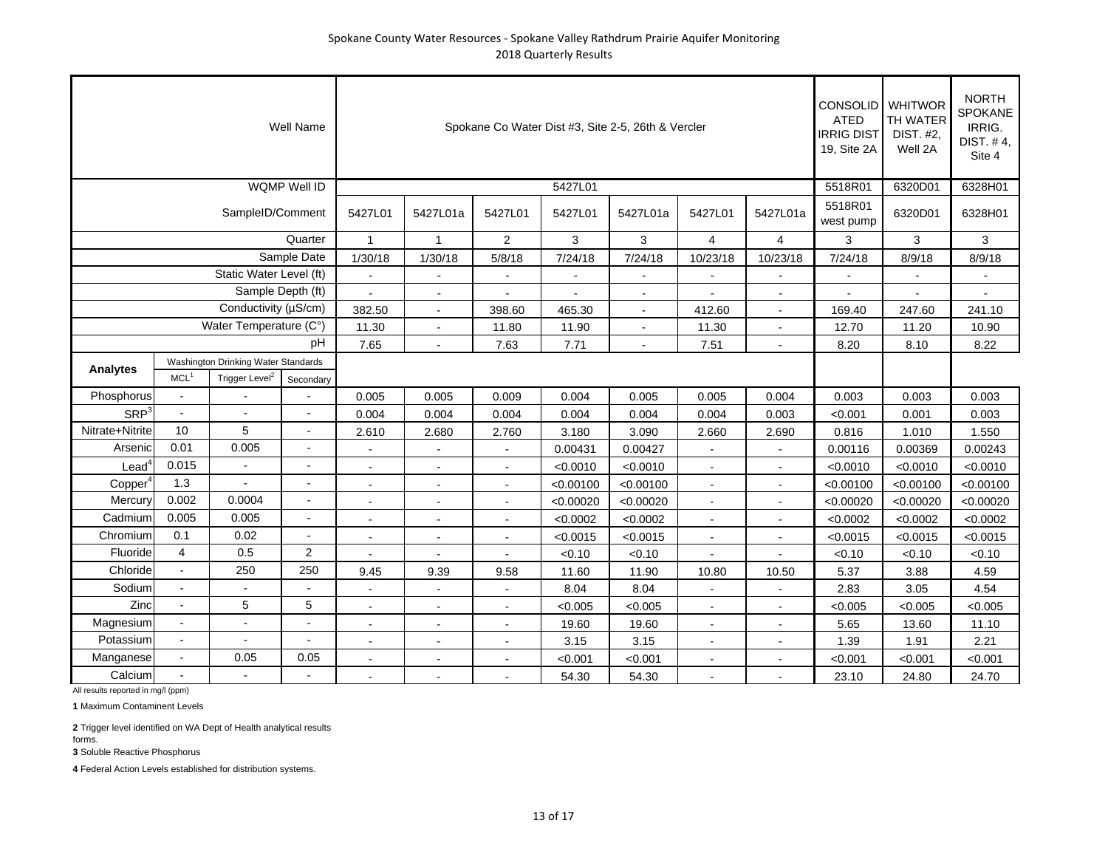|                        |                                                                                                    |                         | <b>Well Name</b>         |                      |                |                          |           | Spokane Co Water Dist #3, Site 2-5, 26th & Vercler |                          |                          | <b>CONSOLID</b> WHITWOR<br><b>ATED</b><br><b>IRRIG DIST</b><br>19, Site 2A | <b>NORTH</b><br><b>SPOKANE</b><br>IRRIG.<br>DIST. #4,<br>Site 4 |           |
|------------------------|----------------------------------------------------------------------------------------------------|-------------------------|--------------------------|----------------------|----------------|--------------------------|-----------|----------------------------------------------------|--------------------------|--------------------------|----------------------------------------------------------------------------|-----------------------------------------------------------------|-----------|
|                        |                                                                                                    |                         | <b>WQMP Well ID</b>      |                      |                |                          | 5427L01   |                                                    |                          |                          | 5518R01                                                                    | 6320D01                                                         | 6328H01   |
|                        |                                                                                                    | SampleID/Comment        |                          | 5427L01              | 5427L01a       | 5427L01                  | 5427L01   | 5427L01a                                           | 5427L01                  | 5427L01a                 | 5518R01<br>west pump                                                       | 6320D01                                                         | 6328H01   |
|                        |                                                                                                    |                         | Quarter                  | $\mathbf{1}$         | $\mathbf{1}$   | $\overline{2}$           | 3         | 3                                                  | 4                        | 4                        | 3                                                                          | 3                                                               | 3         |
|                        |                                                                                                    |                         | Sample Date              | 1/30/18              | 1/30/18        | 5/8/18                   | 7/24/18   | 7/24/18                                            | 10/23/18                 | 10/23/18                 | 7/24/18                                                                    | 8/9/18                                                          | 8/9/18    |
|                        |                                                                                                    | Static Water Level (ft) |                          |                      |                |                          |           |                                                    |                          |                          |                                                                            |                                                                 |           |
|                        |                                                                                                    | Sample Depth (ft)       |                          |                      |                |                          |           |                                                    |                          |                          |                                                                            |                                                                 |           |
| Conductivity (µS/cm)   |                                                                                                    |                         |                          | 382.50               | $\sim$         | 398.60                   | 465.30    | $\blacksquare$                                     | 412.60                   | $\blacksquare$           | 169.40                                                                     | 247.60                                                          | 241.10    |
| Water Temperature (C°) |                                                                                                    |                         |                          | 11.30                | $\sim$         | 11.80                    | 11.90     | $\blacksquare$                                     | 11.30                    |                          | 12.70                                                                      | 11.20                                                           | 10.90     |
| pН                     |                                                                                                    |                         |                          | 7.65                 | $\overline{a}$ | 7.63                     | 7.71      | $\sim$                                             | 7.51                     |                          | 8.20                                                                       | 8.10                                                            | 8.22      |
| Analytes               | Washington Drinking Water Standards<br>Trigger Level <sup>2</sup><br>MCL <sup>1</sup><br>Secondary |                         |                          |                      |                |                          |           |                                                    |                          |                          |                                                                            |                                                                 |           |
| Phosphorus             | $\blacksquare$                                                                                     |                         |                          | 0.005                | 0.005          | 0.009                    | 0.004     | 0.005                                              | 0.005                    | 0.004                    | 0.003                                                                      | 0.003                                                           | 0.003     |
| SRP <sup>3</sup>       | $\blacksquare$                                                                                     | $\overline{a}$          | $\blacksquare$           | 0.004                | 0.004          | 0.004                    | 0.004     | 0.004                                              | 0.004                    | 0.003                    | < 0.001                                                                    | 0.001                                                           | 0.003     |
| Nitrate+Nitrite        | 10                                                                                                 | 5                       | $\blacksquare$           | 2.610                | 2.680          | 2.760                    | 3.180     | 3.090                                              | 2.660                    | 2.690                    | 0.816                                                                      | 1.010                                                           | 1.550     |
| Arsenic                | 0.01                                                                                               | 0.005                   |                          |                      |                |                          | 0.00431   | 0.00427                                            |                          |                          | 0.00116                                                                    | 0.00369                                                         | 0.00243   |
| Lead <sup>4</sup>      | 0.015                                                                                              | $\blacksquare$          | $\blacksquare$           | $\overline{a}$       | $\overline{a}$ | $\sim$                   | < 0.0010  | < 0.0010                                           | $\sim$                   | $\overline{a}$           | < 0.0010                                                                   | < 0.0010                                                        | < 0.0010  |
| Copper <sup>4</sup>    | 1.3                                                                                                |                         |                          |                      |                | $\overline{a}$           | < 0.00100 | < 0.00100                                          | $\sim$                   |                          | < 0.00100                                                                  | < 0.00100                                                       | < 0.00100 |
| Mercury                | 0.002                                                                                              | 0.0004                  | $\overline{a}$           | $\overline{a}$       |                |                          | < 0.00020 | < 0.00020                                          | $\overline{\phantom{a}}$ |                          | < 0.00020                                                                  | < 0.00020                                                       | < 0.00020 |
| Cadmium                | 0.005                                                                                              | 0.005                   |                          |                      |                |                          | < 0.0002  | < 0.0002                                           |                          |                          | < 0.0002                                                                   | < 0.0002                                                        | < 0.0002  |
| Chromium               | 0.1                                                                                                | 0.02                    | $\overline{\phantom{a}}$ | $\blacksquare$       | $\blacksquare$ | $\blacksquare$           | < 0.0015  | < 0.0015                                           | $\blacksquare$           | $\blacksquare$           | < 0.0015                                                                   | < 0.0015                                                        | < 0.0015  |
| Fluoride               | 4                                                                                                  | 0.5                     | $\overline{2}$           | $\ddot{\phantom{a}}$ | $\sim$         | $\overline{\phantom{a}}$ | < 0.10    | < 0.10                                             | $\sim$                   | $\overline{\phantom{a}}$ | < 0.10                                                                     | < 0.10                                                          | < 0.10    |
| Chloride               | $\sim$                                                                                             | 250                     | 250                      | 9.45                 | 9.39           | 9.58                     | 11.60     | 11.90                                              | 10.80                    | 10.50                    | 5.37                                                                       | 3.88                                                            | 4.59      |
| Sodium                 | $\blacksquare$                                                                                     |                         |                          |                      |                |                          | 8.04      | 8.04                                               |                          |                          | 2.83                                                                       | 3.05                                                            | 4.54      |
| Zinc                   | $\blacksquare$                                                                                     | 5                       | $\sqrt{5}$               | $\sim$               | $\sim$         | $\sim$                   | < 0.005   | < 0.005                                            | $\sim$                   | $\overline{\phantom{a}}$ | < 0.005                                                                    | < 0.005                                                         | < 0.005   |
| Magnesium              | $\blacksquare$<br>÷,<br>$\sim$                                                                     |                         |                          | L,                   |                | $\overline{a}$           | 19.60     | 19.60                                              | $\overline{a}$           |                          | 5.65                                                                       | 13.60                                                           | 11.10     |
| Potassium              | $\overline{a}$                                                                                     |                         |                          |                      |                |                          | 3.15      | 3.15                                               |                          |                          | 1.39                                                                       | 1.91                                                            | 2.21      |
| Manganese              |                                                                                                    | 0.05                    | 0.05                     |                      |                |                          | < 0.001   | < 0.001                                            |                          |                          | < 0.001                                                                    | < 0.001                                                         | < 0.001   |
| Calcium                |                                                                                                    |                         |                          | $\blacksquare$       | $\sim$         | $\blacksquare$           | 54.30     | 54.30                                              | $\sim$                   | $\blacksquare$           | 23.10                                                                      | 24.80                                                           | 24.70     |

All results reported in mg/l (ppm)

**1** Maximum Contaminent Levels

**2** Trigger level identified on WA Dept of Health analytical results forms.

**3** Soluble Reactive Phosphorus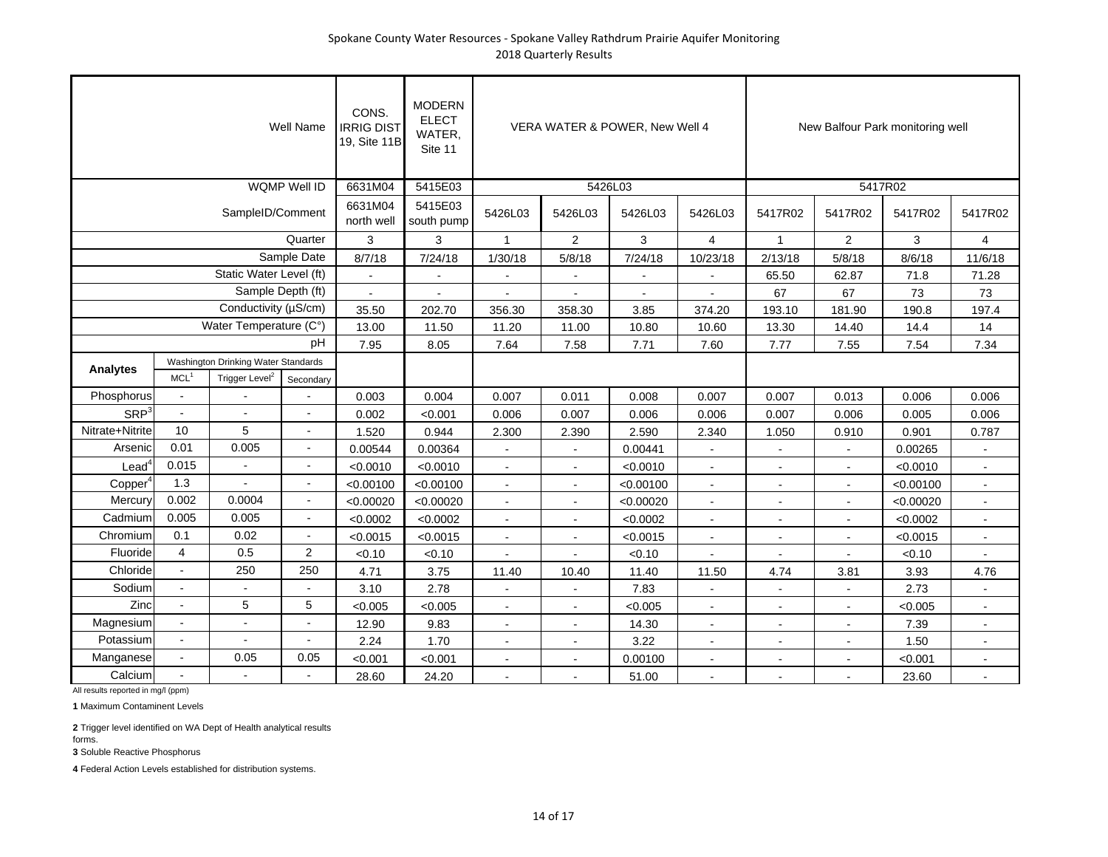| Well Name              |                                                                                                    |                         |                     | CONS.<br><b>IRRIG DIST</b><br>19, Site 11B | <b>MODERN</b><br><b>ELECT</b><br>WATER,<br>Site 11 |                          |                | VERA WATER & POWER, New Well 4 |                      | New Balfour Park monitoring well |                |           |                |
|------------------------|----------------------------------------------------------------------------------------------------|-------------------------|---------------------|--------------------------------------------|----------------------------------------------------|--------------------------|----------------|--------------------------------|----------------------|----------------------------------|----------------|-----------|----------------|
|                        |                                                                                                    |                         | <b>WQMP Well ID</b> | 6631M04                                    | 5415E03                                            |                          | 5426L03        |                                |                      | 5417R02                          |                |           |                |
|                        |                                                                                                    | SampleID/Comment        |                     | 6631M04<br>north well                      | 5415E03<br>south pump                              | 5426L03                  | 5426L03        | 5426L03                        | 5426L03              | 5417R02                          | 5417R02        | 5417R02   | 5417R02        |
|                        |                                                                                                    |                         | Quarter             | 3                                          | 3                                                  | $\mathbf{1}$             | $\overline{2}$ | 3                              | 4                    | $\mathbf{1}$                     | $\overline{2}$ | 3         | $\overline{4}$ |
|                        |                                                                                                    |                         | Sample Date         | 8/7/18                                     | 7/24/18                                            | 1/30/18                  | 5/8/18         | 7/24/18                        | 10/23/18             | 2/13/18                          | 5/8/18         | 8/6/18    | 11/6/18        |
|                        |                                                                                                    | Static Water Level (ft) |                     |                                            |                                                    | $\sim$                   |                |                                | $\overline{a}$       | 65.50                            | 62.87          | 71.8      | 71.28          |
|                        |                                                                                                    | Sample Depth (ft)       |                     |                                            |                                                    |                          |                |                                |                      | 67                               | 67             | 73        | 73             |
| Conductivity (µS/cm)   |                                                                                                    |                         |                     | 35.50                                      | 202.70                                             | 356.30                   | 358.30         | 3.85                           | 374.20               | 193.10                           | 181.90         | 190.8     | 197.4          |
| Water Temperature (C°) |                                                                                                    |                         |                     | 13.00                                      | 11.50                                              | 11.20                    | 11.00          | 10.80                          | 10.60                | 13.30                            | 14.40          | 14.4      | 14             |
| pН                     |                                                                                                    |                         |                     | 7.95                                       | 8.05                                               | 7.64                     | 7.58           | 7.71                           | 7.60                 | 7.77                             | 7.55           | 7.54      | 7.34           |
| <b>Analytes</b>        | Washington Drinking Water Standards<br>Trigger Level <sup>2</sup><br>MCL <sup>1</sup><br>Secondary |                         |                     |                                            |                                                    |                          |                |                                |                      |                                  |                |           |                |
| Phosphorus             | $\sim$                                                                                             |                         |                     | 0.003                                      | 0.004                                              | 0.007                    | 0.011          | 0.008                          | 0.007                | 0.007                            | 0.013          | 0.006     | 0.006          |
| SRP <sup>3</sup>       | $\sim$                                                                                             |                         |                     | 0.002                                      | < 0.001                                            | 0.006                    | 0.007          | 0.006                          | 0.006                | 0.007                            | 0.006          | 0.005     | 0.006          |
| Nitrate+Nitrite        | 10                                                                                                 | 5                       | $\blacksquare$      | 1.520                                      | 0.944                                              | 2.300                    | 2.390          | 2.590                          | 2.340                | 1.050                            | 0.910          | 0.901     | 0.787          |
| Arsenic                | 0.01                                                                                               | 0.005                   | $\overline{a}$      | 0.00544                                    | 0.00364                                            | $\sim$                   | $\sim$         | 0.00441                        | $\sim$               |                                  | $\overline{a}$ | 0.00265   |                |
| Lead                   | 0.015                                                                                              |                         |                     | < 0.0010                                   | < 0.0010                                           | $\sim$                   |                | < 0.0010                       | $\sim$               |                                  |                | < 0.0010  |                |
| Copper <sup>4</sup>    | 1.3                                                                                                |                         |                     | < 0.00100                                  | < 0.00100                                          | $\blacksquare$           | $\blacksquare$ | < 0.00100                      | $\blacksquare$       | $\blacksquare$                   | $\blacksquare$ | < 0.00100 | $\blacksquare$ |
| Mercury                | 0.002                                                                                              | 0.0004                  | $\blacksquare$      | < 0.00020                                  | < 0.00020                                          | $\blacksquare$           | $\blacksquare$ | < 0.00020                      | $\blacksquare$       | $\overline{\phantom{a}}$         | $\blacksquare$ | < 0.00020 | $\blacksquare$ |
| Cadmium                | 0.005                                                                                              | 0.005                   | $\sim$              | < 0.0002                                   | < 0.0002                                           | $\blacksquare$           | $\overline{a}$ | < 0.0002                       | $\sim$               |                                  | $\blacksquare$ | < 0.0002  | $\blacksquare$ |
| Chromium               | 0.1                                                                                                | 0.02                    | $\blacksquare$      | < 0.0015                                   | < 0.0015                                           | $\blacksquare$           |                | < 0.0015                       | $\overline{a}$       |                                  |                | < 0.0015  |                |
| Fluoride               | $\overline{4}$                                                                                     | 0.5                     | $\overline{2}$      | < 0.10                                     | < 0.10                                             |                          |                | < 0.10                         | $\sim$               |                                  | $\blacksquare$ | < 0.10    |                |
| Chloride               | $\mathbf{r}$                                                                                       | 250                     | 250                 | 4.71                                       | 3.75                                               | 11.40                    | 10.40          | 11.40                          | 11.50                | 4.74                             | 3.81           | 3.93      | 4.76           |
| Sodium                 | $\overline{a}$                                                                                     |                         |                     | 3.10                                       | 2.78                                               |                          |                | 7.83                           |                      |                                  |                | 2.73      |                |
| Zinc                   |                                                                                                    | 5                       | 5                   | < 0.005                                    | < 0.005                                            |                          |                | < 0.005                        |                      |                                  |                | < 0.005   |                |
| Magnesium              |                                                                                                    | $\blacksquare$          | $\blacksquare$      | 12.90                                      | 9.83                                               | $\blacksquare$           | $\sim$         | 14.30                          | $\blacksquare$       | $\blacksquare$                   | $\blacksquare$ | 7.39      | $\sim$         |
| Potassium              | $\sim$                                                                                             |                         | $\sim$              | 2.24                                       | 1.70                                               | $\blacksquare$           | $\blacksquare$ | 3.22                           | $\blacksquare$       |                                  | $\blacksquare$ | 1.50      | ۰.             |
| Manganese              | $\blacksquare$                                                                                     | 0.05                    | 0.05                | < 0.001                                    | < 0.001                                            | $\overline{\phantom{a}}$ | ÷,             | 0.00100                        | $\ddot{\phantom{a}}$ |                                  | $\overline{a}$ | < 0.001   |                |
| Calcium                |                                                                                                    |                         |                     | 28.60                                      | 24.20                                              |                          |                | 51.00                          |                      |                                  |                | 23.60     |                |

**1** Maximum Contaminent Levels

**2** Trigger level identified on WA Dept of Health analytical results forms.

**3** Soluble Reactive Phosphorus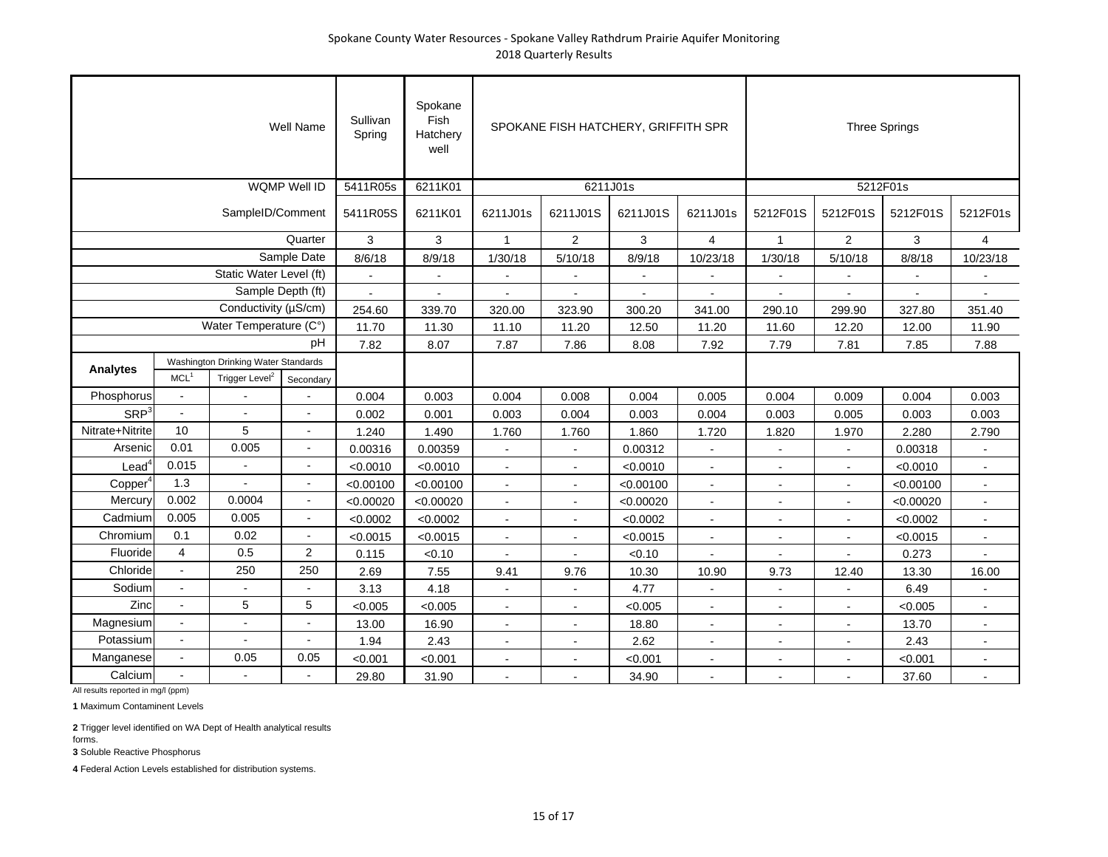| Well Name              |                                                                                       |                          |                          | Sullivan<br>Spring | Spokane<br>Fish<br>Hatchery<br>well |                | SPOKANE FISH HATCHERY, GRIFFITH SPR |                |                          | <b>Three Springs</b> |                |           |                |
|------------------------|---------------------------------------------------------------------------------------|--------------------------|--------------------------|--------------------|-------------------------------------|----------------|-------------------------------------|----------------|--------------------------|----------------------|----------------|-----------|----------------|
|                        |                                                                                       |                          | <b>WQMP Well ID</b>      | 5411R05s           | 6211K01                             |                | 6211J01s                            |                |                          | 5212F01s             |                |           |                |
|                        |                                                                                       | SampleID/Comment         |                          | 5411R05S           | 6211K01                             | 6211J01s       | 6211J01S                            | 6211J01S       | 6211J01s                 | 5212F01S             | 5212F01S       | 5212F01S  | 5212F01s       |
|                        |                                                                                       |                          | Quarter                  | 3                  | 3                                   | $\mathbf{1}$   | $\overline{2}$                      | 3              | $\overline{\mathbf{4}}$  | $\mathbf{1}$         | $\overline{2}$ | 3         | $\overline{4}$ |
|                        |                                                                                       |                          | Sample Date              | 8/6/18             | 8/9/18                              | 1/30/18        | 5/10/18                             | 8/9/18         | 10/23/18                 | 1/30/18              | 5/10/18        | 8/8/18    | 10/23/18       |
|                        |                                                                                       | Static Water Level (ft)  |                          | $\overline{a}$     | $\sim$                              | $\blacksquare$ | $\blacksquare$                      | $\blacksquare$ | $\sim$                   |                      |                | $\sim$    |                |
|                        |                                                                                       | Sample Depth (ft)        |                          |                    |                                     |                |                                     |                |                          |                      |                |           |                |
|                        |                                                                                       | Conductivity (µS/cm)     |                          | 254.60             | 339.70                              | 320.00         | 323.90                              | 300.20         | 341.00                   | 290.10               | 299.90         | 327.80    | 351.40         |
| Water Temperature (C°) |                                                                                       |                          |                          | 11.70              | 11.30                               | 11.10          | 11.20                               | 12.50          | 11.20                    | 11.60                | 12.20          | 12.00     | 11.90          |
| pН                     |                                                                                       |                          |                          | 7.82               | 8.07                                | 7.87           | 7.86                                | 8.08           | 7.92                     | 7.79                 | 7.81           | 7.85      | 7.88           |
| <b>Analytes</b>        | Washington Drinking Water Standards<br>Trigger Level <sup>2</sup><br>MCL <sup>1</sup> |                          |                          |                    |                                     |                |                                     |                |                          |                      |                |           |                |
| Phosphorus             | $\sim$                                                                                |                          | Secondary                | 0.004              | 0.003                               | 0.004          | 0.008                               | 0.004          | 0.005                    | 0.004                | 0.009          | 0.004     | 0.003          |
| SRP <sup>3</sup>       | $\sim$                                                                                |                          |                          | 0.002              | 0.001                               | 0.003          | 0.004                               | 0.003          | 0.004                    | 0.003                | 0.005          | 0.003     | 0.003          |
| Nitrate+Nitrite        | 10                                                                                    | 5                        | $\blacksquare$           | 1.240              | 1.490                               | 1.760          | 1.760                               | 1.860          | 1.720                    | 1.820                | 1.970          | 2.280     | 2.790          |
| Arsenic                | 0.01                                                                                  | 0.005                    | $\overline{a}$           | 0.00316            | 0.00359                             | $\sim$         | $\blacksquare$                      | 0.00312        | $\sim$                   |                      | $\blacksquare$ | 0.00318   |                |
| Lead                   | 0.015                                                                                 |                          |                          | < 0.0010           | < 0.0010                            | $\overline{a}$ |                                     | < 0.0010       | $\sim$                   |                      |                | < 0.0010  | ÷.             |
| Copper <sup>4</sup>    | 1.3                                                                                   |                          |                          | < 0.00100          | < 0.00100                           | $\blacksquare$ | $\overline{\phantom{a}}$            | < 0.00100      | $\overline{\phantom{a}}$ |                      |                | < 0.00100 |                |
| Mercury                | 0.002                                                                                 | 0.0004                   | $\overline{\phantom{a}}$ | < 0.00020          | < 0.00020                           | $\blacksquare$ | $\blacksquare$                      | < 0.00020      | $\blacksquare$           | $\blacksquare$       | $\blacksquare$ | < 0.00020 | $\blacksquare$ |
| Cadmium                | 0.005                                                                                 | 0.005                    | $\sim$                   | < 0.0002           | < 0.0002                            | $\blacksquare$ | $\blacksquare$                      | < 0.0002       | $\blacksquare$           |                      | $\blacksquare$ | < 0.0002  | $\blacksquare$ |
| Chromium               | 0.1                                                                                   | 0.02                     | $\sim$                   | < 0.0015           | < 0.0015                            | $\mathbf{r}$   |                                     | < 0.0015       | $\blacksquare$           |                      | $\overline{a}$ | < 0.0015  | ÷.             |
| Fluoride               | $\overline{4}$                                                                        | 0.5                      | 2                        | 0.115              | < 0.10                              |                |                                     | < 0.10         |                          |                      |                | 0.273     |                |
| Chloride               | $\blacksquare$                                                                        | 250                      | 250                      | 2.69               | 7.55                                | 9.41           | 9.76                                | 10.30          | 10.90                    | 9.73                 | 12.40          | 13.30     | 16.00          |
| Sodium                 | $\overline{\phantom{a}}$                                                              |                          |                          | 3.13               | 4.18                                |                |                                     | 4.77           |                          |                      |                | 6.49      |                |
| Zinc                   | $\overline{a}$                                                                        | 5                        | 5                        | < 0.005            | < 0.005                             |                |                                     | < 0.005        | $\sim$                   |                      |                | < 0.005   | ÷.             |
| Magnesium              | $\sim$                                                                                | $\overline{\phantom{a}}$ | $\overline{a}$           | 13.00              | 16.90                               | $\blacksquare$ | $\overline{a}$                      | 18.80          | $\blacksquare$           |                      | $\blacksquare$ | 13.70     |                |
| Potassium              | $\blacksquare$                                                                        | $\blacksquare$           | $\blacksquare$           | 1.94               | 2.43                                | $\blacksquare$ | $\blacksquare$                      | 2.62           | $\blacksquare$           | $\blacksquare$       | $\blacksquare$ | 2.43      | $\sim$         |
| Manganese              | $\blacksquare$                                                                        | 0.05                     | 0.05                     | < 0.001            | < 0.001                             | $\blacksquare$ |                                     | < 0.001        | $\blacksquare$           |                      | L,             | < 0.001   |                |
| Calcium                | $\sim$                                                                                | $\overline{a}$           |                          | 29.80              | 31.90                               |                |                                     | 34.90          | $\overline{a}$           |                      |                | 37.60     |                |

**1** Maximum Contaminent Levels

**2** Trigger level identified on WA Dept of Health analytical results forms.

**3** Soluble Reactive Phosphorus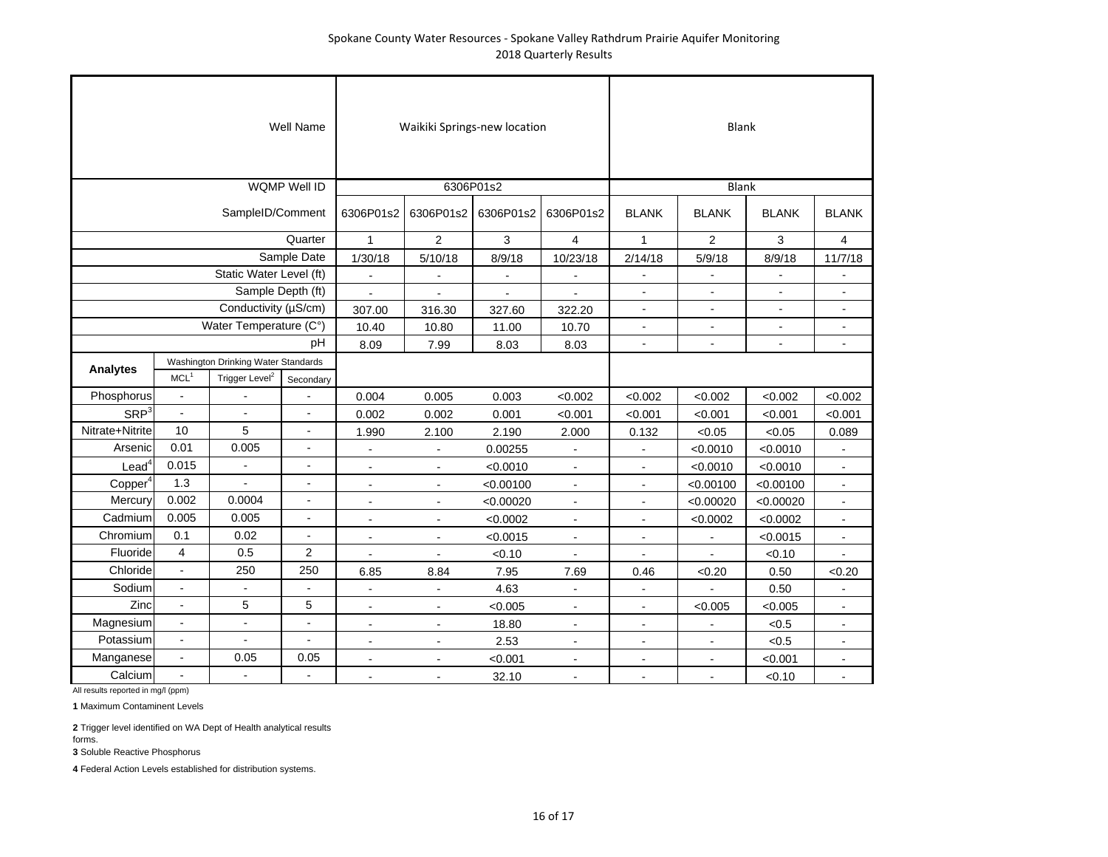|                                                        |                          |                            | Well Name                |                | Waikiki Springs-new location |           |                | <b>Blank</b>             |                |                |                          |  |  |
|--------------------------------------------------------|--------------------------|----------------------------|--------------------------|----------------|------------------------------|-----------|----------------|--------------------------|----------------|----------------|--------------------------|--|--|
|                                                        |                          |                            | <b>WQMP Well ID</b>      |                |                              | 6306P01s2 |                |                          | <b>Blank</b>   |                |                          |  |  |
|                                                        |                          | SampleID/Comment           |                          | 6306P01s2      | 6306P01s2                    | 6306P01s2 | 6306P01s2      | <b>BLANK</b>             | <b>BLANK</b>   | <b>BLANK</b>   | <b>BLANK</b>             |  |  |
|                                                        |                          |                            | Quarter                  | $\mathbf{1}$   | $\overline{2}$               | 3         | 4              | $\mathbf{1}$             | $\overline{2}$ | 3              | 4                        |  |  |
|                                                        |                          |                            | Sample Date              | 1/30/18        | 5/10/18                      | 8/9/18    | 10/23/18       | 2/14/18                  | 5/9/18         | 8/9/18         | 11/7/18                  |  |  |
|                                                        |                          | Static Water Level (ft)    |                          |                |                              |           |                |                          |                |                |                          |  |  |
|                                                        |                          | Sample Depth (ft)          |                          |                |                              |           |                |                          |                |                |                          |  |  |
|                                                        |                          | Conductivity (µS/cm)       |                          | 307.00         | 316.30                       | 327.60    | 322.20         | $\overline{\phantom{a}}$ | $\blacksquare$ | $\blacksquare$ | $\blacksquare$           |  |  |
|                                                        |                          | Water Temperature (C°)     |                          | 10.40          | 10.80                        | 11.00     | 10.70          | $\blacksquare$           |                | $\blacksquare$ |                          |  |  |
|                                                        |                          |                            | pH                       | 8.09           | 7.99                         | 8.03      | 8.03           | $\overline{a}$           |                | $\overline{a}$ | $\overline{a}$           |  |  |
| Washington Drinking Water Standards<br><b>Analytes</b> |                          |                            |                          |                |                              |           |                |                          |                |                |                          |  |  |
|                                                        | MCL <sup>1</sup>         | Trigger Level <sup>2</sup> | Secondary                |                |                              |           |                |                          |                |                |                          |  |  |
| Phosphorus                                             | $\blacksquare$           |                            |                          | 0.004          | 0.005                        | 0.003     | < 0.002        | < 0.002                  | < 0.002        | < 0.002        | < 0.002                  |  |  |
| <b>SRP</b> <sup>3</sup>                                | $\overline{a}$           | $\blacksquare$             | $\overline{\phantom{a}}$ | 0.002          | 0.002                        | 0.001     | < 0.001        | < 0.001                  | < 0.001        | < 0.001        | < 0.001                  |  |  |
| Nitrate+Nitrite                                        | 10                       | 5                          | $\blacksquare$           | 1.990          | 2.100                        | 2.190     | 2.000          | 0.132                    | < 0.05         | < 0.05         | 0.089                    |  |  |
| Arsenic                                                | 0.01                     | 0.005                      | $\omega$                 | $\blacksquare$ | $\blacksquare$               | 0.00255   | $\blacksquare$ | $\blacksquare$           | < 0.0010       | < 0.0010       | $\sim$                   |  |  |
| $\textsf{lead}^4$                                      | 0.015                    | $\blacksquare$             | $\overline{a}$           |                | $\blacksquare$               | < 0.0010  | $\overline{a}$ |                          | < 0.0010       | < 0.0010       |                          |  |  |
| Copper <sup>4</sup>                                    | 1.3                      |                            | ä,                       | $\overline{a}$ | $\blacksquare$               | < 0.00100 | $\overline{a}$ | $\overline{a}$           | < 0.00100      | < 0.00100      | $\overline{\phantom{a}}$ |  |  |
| Mercury                                                | 0.002                    | 0.0004                     | L,                       |                | $\blacksquare$               | < 0.00020 | $\blacksquare$ | $\blacksquare$           | < 0.00020      | < 0.00020      |                          |  |  |
| Cadmium                                                | 0.005                    | 0.005                      | $\blacksquare$           | $\blacksquare$ | $\blacksquare$               | < 0.0002  | $\blacksquare$ | $\blacksquare$           | < 0.0002       | < 0.0002       | $\blacksquare$           |  |  |
| Chromium                                               | 0.1                      | 0.02                       | $\frac{1}{2}$            |                | $\overline{a}$               | < 0.0015  | $\blacksquare$ | $\overline{a}$           |                | < 0.0015       | $\blacksquare$           |  |  |
| Fluoride                                               | $\overline{\mathbf{4}}$  | 0.5                        | $\overline{c}$           |                |                              | < 0.10    |                |                          |                | < 0.10         |                          |  |  |
| Chloride                                               | $\overline{\phantom{a}}$ | 250                        | 250                      | 6.85           | 8.84                         | 7.95      | 7.69           | 0.46                     | <0.20          | 0.50           | < 0.20                   |  |  |
| Sodium                                                 | $\overline{\phantom{a}}$ |                            |                          | $\blacksquare$ | $\blacksquare$               | 4.63      | $\blacksquare$ | $\sim$                   |                | 0.50           | $\sim$                   |  |  |
| Zinc                                                   | $\overline{a}$           | 5                          | 5                        |                |                              | < 0.005   |                | $\overline{a}$           | < 0.005        | < 0.005        | $\overline{a}$           |  |  |
| Magnesium                                              |                          | $\blacksquare$             | $\overline{a}$           | $\mathbf{r}$   | ÷                            | 18.80     | $\blacksquare$ | $\blacksquare$           |                | < 0.5          |                          |  |  |
| Potassium                                              | $\blacksquare$           | $\blacksquare$             | $\frac{1}{2}$            | $\blacksquare$ | $\blacksquare$               | 2.53      | $\blacksquare$ | $\blacksquare$           | $\blacksquare$ | < 0.5          | $\blacksquare$           |  |  |
| Manganese                                              | $\blacksquare$           | 0.05                       | 0.05                     | $\blacksquare$ | $\blacksquare$               | < 0.001   | $\blacksquare$ | $\overline{a}$           |                | < 0.001        | $\blacksquare$           |  |  |
| Calcium                                                | $\overline{a}$           | $\blacksquare$             | $\overline{a}$           |                | $\blacksquare$               | 32.10     | $\overline{a}$ | $\ddot{\phantom{a}}$     |                | < 0.10         | $\ddot{\phantom{a}}$     |  |  |

All results reported in mg/l (ppm)

**1** Maximum Contaminent Levels

**2** Trigger level identified on WA Dept of Health analytical results forms.

**3** Soluble Reactive Phosphorus